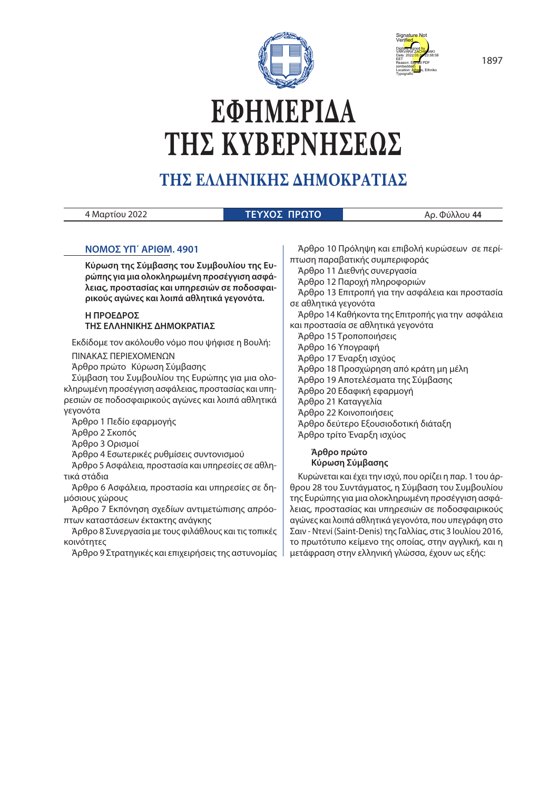



# **ΕΦΗΜΕΡΙ∆Α ΤΗΣ ΚΥΒΕΡΝΗΣΕΩΣ**

# **ΤΗΣ ΕΛΛΗΝΙΚΗΣ ∆ΗΜΟΚΡΑΤΙΑΣ**

| Μαρτίου 2022 | ΤΕΥΧΟΣ ΠΡΩΤΟΙ | 44 ہ |
|--------------|---------------|------|

# **NOMOΣ ΥΠ΄ ΑΡΙΘΜ. 4901**

**Κύρωση της Σύμβασης του Συμβουλίου της Ευρώπης για μια ολοκληρωμένη προσέγγιση ασφάλειας, προστασίας και υπηρεσιών σε ποδοσφαιρικούς αγώνες και λοιπά αθλητικά γεγονότα.**

# **Η ΠΡΟΕΔΡΟΣ ΤΗΣ ΕΛΛΗΝΙΚΗΣ ΔΗΜΟΚΡΑΤΙΑΣ**

Εκδίδομε τον ακόλουθο νόμο που ψήφισε η Βουλή:

ΠΙΝΑΚΑΣ ΠΕΡΙΕΧΟΜΕΝΩΝ

Άρθρο πρώτο Κύρωση Σύμβασης

Σύμβαση του Συμβουλίου της Ευρώπης για μια ολοκληρωμένη προσέγγιση ασφάλειας, προστασίας και υπηρεσιών σε ποδοσφαιρικούς αγώνες και λοιπά αθλητικά γεγονότα

Άρθρο 1 Πεδίο εφαρμογής

Άρθρο 2 Σκοπός

Άρθρο 3 Ορισμοί

Άρθρο 4 Εσωτερικές ρυθμίσεις συντονισμού

Άρθρο 5 Ασφάλεια, προστασία και υπηρεσίες σε αθλητικά στάδια

Άρθρο 6 Ασφάλεια, προστασία και υπηρεσίες σε δημόσιους χώρους

Άρθρο 7 Εκπόνηση σχεδίων αντιμετώπισης απρόοπτων καταστάσεων έκτακτης ανάγκης

Άρθρο 8 Συνεργασία με τους φιλάθλους και τις τοπικές κοινότητες

Άρθρο 9 Στρατηγικές και επιχειρήσεις της αστυνομίας

Άρθρο 10 Πρόληψη και επιβολή κυρώσεων σε περίπτωση παραβατικής συμπεριφοράς Άρθρο 11 Διεθνής συνεργασία Άρθρο 12 Παροχή πληροφοριών

Άρθρο 13 Επιτροπή για την ασφάλεια και προστασία σε αθλητικά γεγονότα

Άρθρο 14 Καθήκοντα της Επιτροπής για την ασφάλεια και προστασία σε αθλητικά γεγονότα

Άρθρο 15 Τροποποιήσεις Άρθρο 16 Υπογραφή Άρθρο 17 Έναρξη ισχύος Άρθρο 18 Προσχώρηση από κράτη μη μέλη Άρθρο 19 Αποτελέσματα της Σύμβασης Άρθρο 20 Εδαφική εφαρμογή Άρθρο 21 Καταγγελία Άρθρο 22 Κοινοποιήσεις Άρθρο δεύτερο Εξουσιοδοτική διάταξη Άρθρο τρίτο Έναρξη ισχύος

# **Άρθρο πρώτο Κύρωση Σύμβασης**

Κυρώνεται και έχει την ισχύ, που ορίζει η παρ. 1 του άρθρου 28 του Συντάγματος, η Σύμβαση του Συμβουλίου της Ευρώπης για μια ολοκληρωμένη προσέγγιση ασφάλειας, προστασίας και υπηρεσιών σε ποδοσφαιρικούς αγώνες και λοιπά αθλητικά γεγονότα, που υπεγράφη στο Σαιν - Ντενί (Saint-Denis) της Γαλλίας, στις 3 Ιουλίου 2016, το πρωτότυπο κείμενο της οποίας, στην αγγλική, και η μετάφραση στην ελληνική γλώσσα, έχουν ως εξής:

1897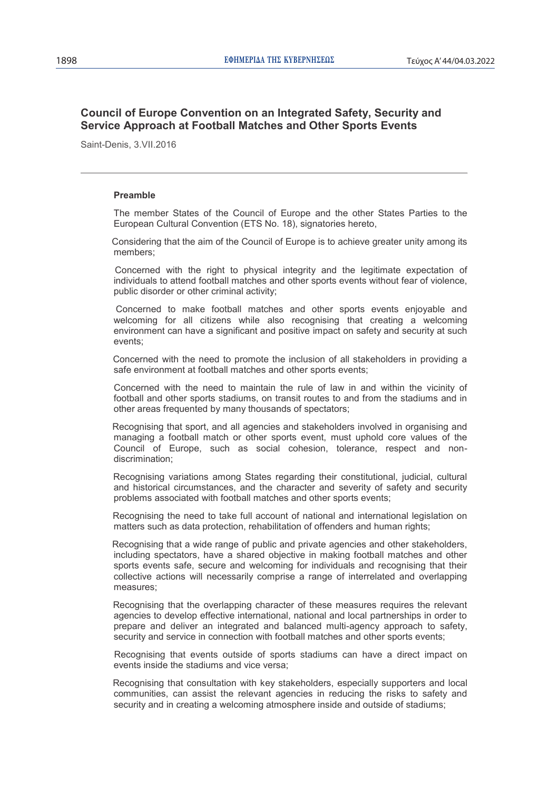# **Council of Europe Convention on an Integrated Safety, Security and Service Approach at Football Matches and Other Sports Events**

Saint-Denis, 3.VII.2016

# **Preamble**

The member States of the Council of Europe and the other States Parties to the European Cultural Convention (ETS No. 18), signatories hereto,

Considering that the aim of the Council of Europe is to achieve greater unity among its members;

Concerned with the right to physical integrity and the legitimate expectation of individuals to attend football matches and other sports events without fear of violence, public disorder or other criminal activity;

Concerned to make football matches and other sports events enjoyable and welcoming for all citizens while also recognising that creating a welcoming environment can have a significant and positive impact on safety and security at such events;

Concerned with the need to promote the inclusion of all stakeholders in providing a safe environment at football matches and other sports events;

Concerned with the need to maintain the rule of law in and within the vicinity of football and other sports stadiums, on transit routes to and from the stadiums and in other areas frequented by many thousands of spectators;

Recognising that sport, and all agencies and stakeholders involved in organising and managing a football match or other sports event, must uphold core values of the Council of Europe, such as social cohesion, tolerance, respect and nondiscrimination;

Recognising variations among States regarding their constitutional, judicial, cultural and historical circumstances, and the character and severity of safety and security problems associated with football matches and other sports events;

Recognising the need to take full account of national and international legislation on matters such as data protection, rehabilitation of offenders and human rights;

Recognising that a wide range of public and private agencies and other stakeholders, including spectators, have a shared objective in making football matches and other sports events safe, secure and welcoming for individuals and recognising that their collective actions will necessarily comprise a range of interrelated and overlapping measures;

Recognising that the overlapping character of these measures requires the relevant agencies to develop effective international, national and local partnerships in order to prepare and deliver an integrated and balanced multi-agency approach to safety, security and service in connection with football matches and other sports events;

Recognising that events outside of sports stadiums can have a direct impact on events inside the stadiums and vice versa;

Recognising that consultation with key stakeholders, especially supporters and local communities, can assist the relevant agencies in reducing the risks to safety and security and in creating a welcoming atmosphere inside and outside of stadiums;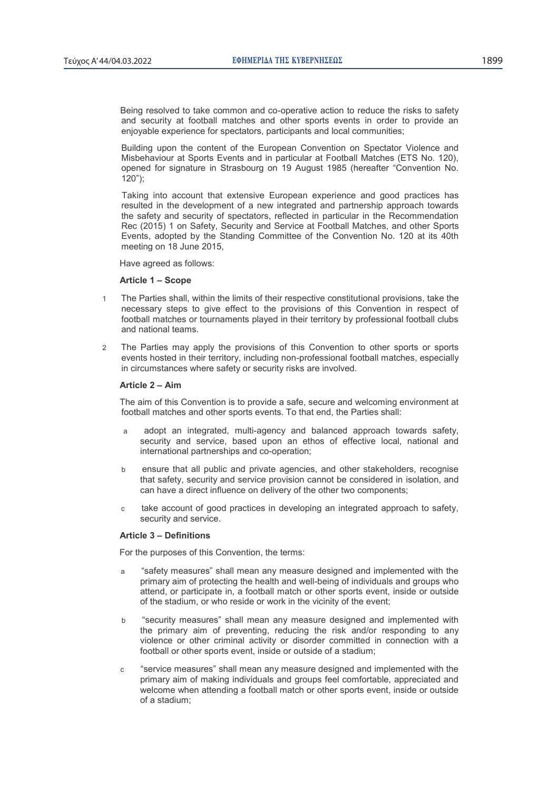Being resolved to take common and co-operative action to reduce the risks to safety and security at football matches and other sports events in order to provide an enjoyable experience for spectators, participants and local communities;

Building upon the content of the European Convention on Spectator Violence and Misbehaviour at Sports Events and in particular at Football Matches (ETS No. 120), opened for signature in Strasbourg on 19 August 1985 (hereafter "Convention No. 120");

Taking into account that extensive European experience and good practices has resulted in the development of a new integrated and partnership approach towards the safety and security of spectators, reflected in particular in the Recommendation Rec (2015) 1 on Safety, Security and Service at Football Matches, and other Sports Events, adopted by the Standing Committee of the Convention No. 120 at its 40th meeting on 18 June 2015,

Have agreed as follows:

# **Article 1 – Scope**

- 1 The Parties shall, within the limits of their respective constitutional provisions, take the necessary steps to give effect to the provisions of this Convention in respect of football matches or tournaments played in their territory by professional football clubs and national teams.
- 2 The Parties may apply the provisions of this Convention to other sports or sports events hosted in their territory, including non-professional football matches, especially in circumstances where safety or security risks are involved.

# **Article 2 – Aim**

The aim of this Convention is to provide a safe, secure and welcoming environment at football matches and other sports events. To that end, the Parties shall:

- a adopt an integrated, multi-agency and balanced approach towards safety, security and service, based upon an ethos of effective local, national and international partnerships and co-operation;
- b ensure that all public and private agencies, and other stakeholders, recognise that safety, security and service provision cannot be considered in isolation, and can have a direct influence on delivery of the other two components;
- c take account of good practices in developing an integrated approach to safety, security and service.

# **Article 3 – Definitions**

For the purposes of this Convention, the terms:

- a "safety measures" shall mean any measure designed and implemented with the primary aim of protecting the health and well-being of individuals and groups who attend, or participate in, a football match or other sports event, inside or outside of the stadium, or who reside or work in the vicinity of the event;
- b "security measures" shall mean any measure designed and implemented with the primary aim of preventing, reducing the risk and/or responding to any violence or other criminal activity or disorder committed in connection with a football or other sports event, inside or outside of a stadium;
- c "service measures" shall mean any measure designed and implemented with the primary aim of making individuals and groups feel comfortable, appreciated and welcome when attending a football match or other sports event, inside or outside of a stadium;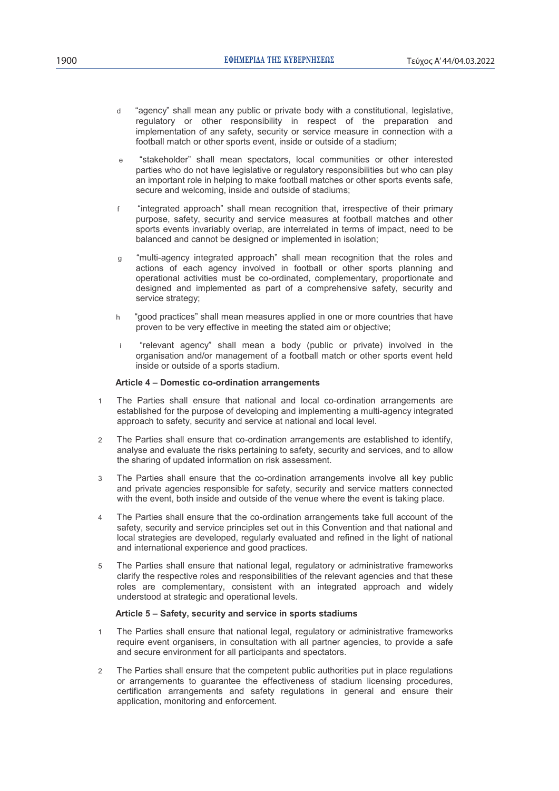- d "agency" shall mean any public or private body with a constitutional, legislative, regulatory or other responsibility in respect of the preparation and implementation of any safety, security or service measure in connection with a football match or other sports event, inside or outside of a stadium;
- e "stakeholder" shall mean spectators, local communities or other interested parties who do not have legislative or regulatory responsibilities but who can play an important role in helping to make football matches or other sports events safe, secure and welcoming, inside and outside of stadiums;
- f "integrated approach" shall mean recognition that, irrespective of their primary purpose, safety, security and service measures at football matches and other sports events invariably overlap, are interrelated in terms of impact, need to be balanced and cannot be designed or implemented in isolation;
- g "multi-agency integrated approach" shall mean recognition that the roles and actions of each agency involved in football or other sports planning and operational activities must be co-ordinated, complementary, proportionate and designed and implemented as part of a comprehensive safety, security and service strategy;
- h "good practices" shall mean measures applied in one or more countries that have proven to be very effective in meeting the stated aim or objective;
- i "relevant agency" shall mean a body (public or private) involved in the organisation and/or management of a football match or other sports event held inside or outside of a sports stadium.

# **Article 4 – Domestic co-ordination arrangements**

- 1 The Parties shall ensure that national and local co-ordination arrangements are established for the purpose of developing and implementing a multi-agency integrated approach to safety, security and service at national and local level.
- 2 The Parties shall ensure that co-ordination arrangements are established to identify, analyse and evaluate the risks pertaining to safety, security and services, and to allow the sharing of updated information on risk assessment.
- 3 The Parties shall ensure that the co-ordination arrangements involve all key public and private agencies responsible for safety, security and service matters connected with the event, both inside and outside of the venue where the event is taking place.
- 4 The Parties shall ensure that the co-ordination arrangements take full account of the safety, security and service principles set out in this Convention and that national and local strategies are developed, regularly evaluated and refined in the light of national and international experience and good practices.
- 5 The Parties shall ensure that national legal, regulatory or administrative frameworks clarify the respective roles and responsibilities of the relevant agencies and that these roles are complementary, consistent with an integrated approach and widely understood at strategic and operational levels.

# **Article 5 – Safety, security and service in sports stadiums**

- 1 The Parties shall ensure that national legal, regulatory or administrative frameworks require event organisers, in consultation with all partner agencies, to provide a safe and secure environment for all participants and spectators.
- 2 The Parties shall ensure that the competent public authorities put in place regulations or arrangements to guarantee the effectiveness of stadium licensing procedures, certification arrangements and safety regulations in general and ensure their application, monitoring and enforcement.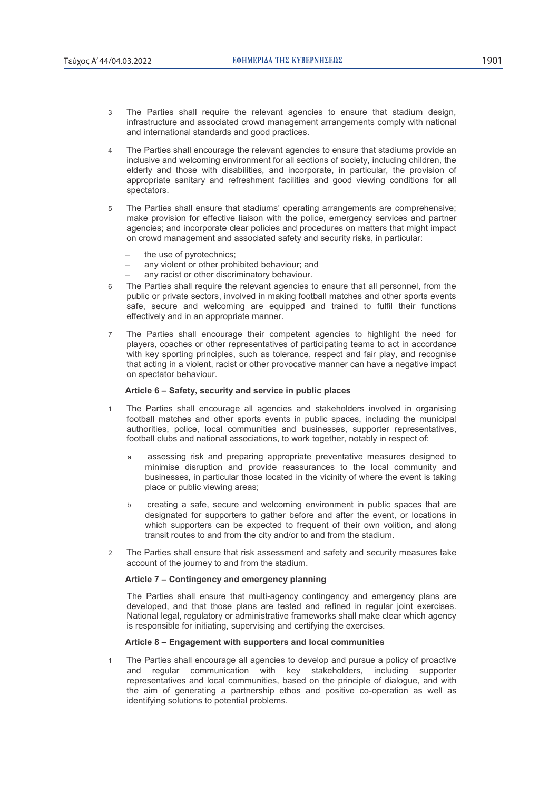- 3 The Parties shall require the relevant agencies to ensure that stadium design, infrastructure and associated crowd management arrangements comply with national and international standards and good practices.
- 4 The Parties shall encourage the relevant agencies to ensure that stadiums provide an inclusive and welcoming environment for all sections of society, including children, the elderly and those with disabilities, and incorporate, in particular, the provision of appropriate sanitary and refreshment facilities and good viewing conditions for all spectators.
- 5 The Parties shall ensure that stadiums' operating arrangements are comprehensive; make provision for effective liaison with the police, emergency services and partner agencies; and incorporate clear policies and procedures on matters that might impact on crowd management and associated safety and security risks, in particular:
	- the use of pyrotechnics;
	- any violent or other prohibited behaviour; and
	- any racist or other discriminatory behaviour.
- 6 The Parties shall require the relevant agencies to ensure that all personnel, from the public or private sectors, involved in making football matches and other sports events safe, secure and welcoming are equipped and trained to fulfil their functions effectively and in an appropriate manner.
- 7 The Parties shall encourage their competent agencies to highlight the need for players, coaches or other representatives of participating teams to act in accordance with key sporting principles, such as tolerance, respect and fair play, and recognise that acting in a violent, racist or other provocative manner can have a negative impact on spectator behaviour.

# **Article 6 – Safety, security and service in public places**

- 1 The Parties shall encourage all agencies and stakeholders involved in organising football matches and other sports events in public spaces, including the municipal authorities, police, local communities and businesses, supporter representatives, football clubs and national associations, to work together, notably in respect of:
	- a assessing risk and preparing appropriate preventative measures designed to minimise disruption and provide reassurances to the local community and businesses, in particular those located in the vicinity of where the event is taking place or public viewing areas;
	- b creating a safe, secure and welcoming environment in public spaces that are designated for supporters to gather before and after the event, or locations in which supporters can be expected to frequent of their own volition, and along transit routes to and from the city and/or to and from the stadium.
- 2 The Parties shall ensure that risk assessment and safety and security measures take account of the journey to and from the stadium.

# **Article 7 – Contingency and emergency planning**

The Parties shall ensure that multi-agency contingency and emergency plans are developed, and that those plans are tested and refined in regular joint exercises. National legal, regulatory or administrative frameworks shall make clear which agency is responsible for initiating, supervising and certifying the exercises.

# **Article 8 – Engagement with supporters and local communities**

1 The Parties shall encourage all agencies to develop and pursue a policy of proactive and regular communication with key stakeholders, including supporter representatives and local communities, based on the principle of dialogue, and with the aim of generating a partnership ethos and positive co-operation as well as identifying solutions to potential problems.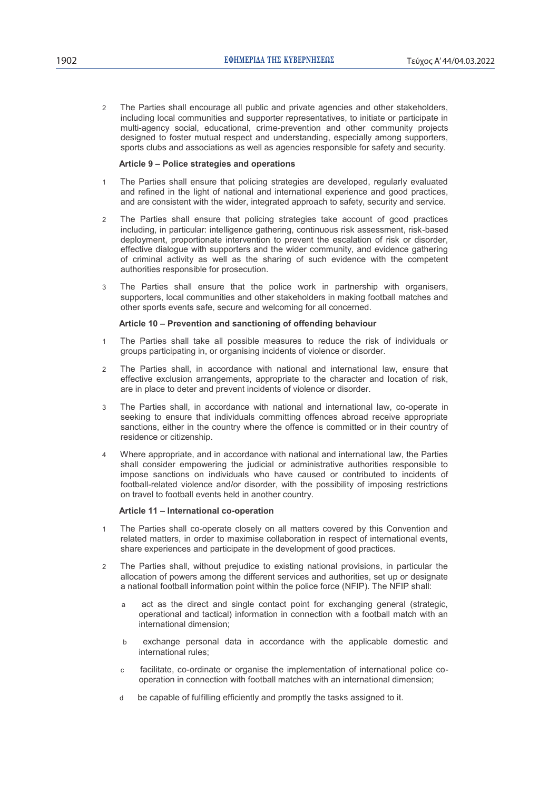2 The Parties shall encourage all public and private agencies and other stakeholders, including local communities and supporter representatives, to initiate or participate in multi-agency social, educational, crime-prevention and other community projects designed to foster mutual respect and understanding, especially among supporters, sports clubs and associations as well as agencies responsible for safety and security.

# **Article 9 – Police strategies and operations**

- 1 The Parties shall ensure that policing strategies are developed, regularly evaluated and refined in the light of national and international experience and good practices, and are consistent with the wider, integrated approach to safety, security and service.
- 2 The Parties shall ensure that policing strategies take account of good practices including, in particular: intelligence gathering, continuous risk assessment, risk-based deployment, proportionate intervention to prevent the escalation of risk or disorder, effective dialogue with supporters and the wider community, and evidence gathering of criminal activity as well as the sharing of such evidence with the competent authorities responsible for prosecution.
- 3 The Parties shall ensure that the police work in partnership with organisers, supporters, local communities and other stakeholders in making football matches and other sports events safe, secure and welcoming for all concerned.

# **Article 10 – Prevention and sanctioning of offending behaviour**

- 1 The Parties shall take all possible measures to reduce the risk of individuals or groups participating in, or organising incidents of violence or disorder.
- 2 The Parties shall, in accordance with national and international law, ensure that effective exclusion arrangements, appropriate to the character and location of risk, are in place to deter and prevent incidents of violence or disorder.
- 3 The Parties shall, in accordance with national and international law, co-operate in seeking to ensure that individuals committing offences abroad receive appropriate sanctions, either in the country where the offence is committed or in their country of residence or citizenship.
- 4 Where appropriate, and in accordance with national and international law, the Parties shall consider empowering the judicial or administrative authorities responsible to impose sanctions on individuals who have caused or contributed to incidents of football-related violence and/or disorder, with the possibility of imposing restrictions on travel to football events held in another country.

# **Article 11 – International co-operation**

- 1 The Parties shall co-operate closely on all matters covered by this Convention and related matters, in order to maximise collaboration in respect of international events, share experiences and participate in the development of good practices.
- 2 The Parties shall, without prejudice to existing national provisions, in particular the allocation of powers among the different services and authorities, set up or designate a national football information point within the police force (NFIP). The NFIP shall:
	- a act as the direct and single contact point for exchanging general (strategic, operational and tactical) information in connection with a football match with an international dimension;
	- b exchange personal data in accordance with the applicable domestic and international rules;
	- c facilitate, co-ordinate or organise the implementation of international police cooperation in connection with football matches with an international dimension;
	- d be capable of fulfilling efficiently and promptly the tasks assigned to it.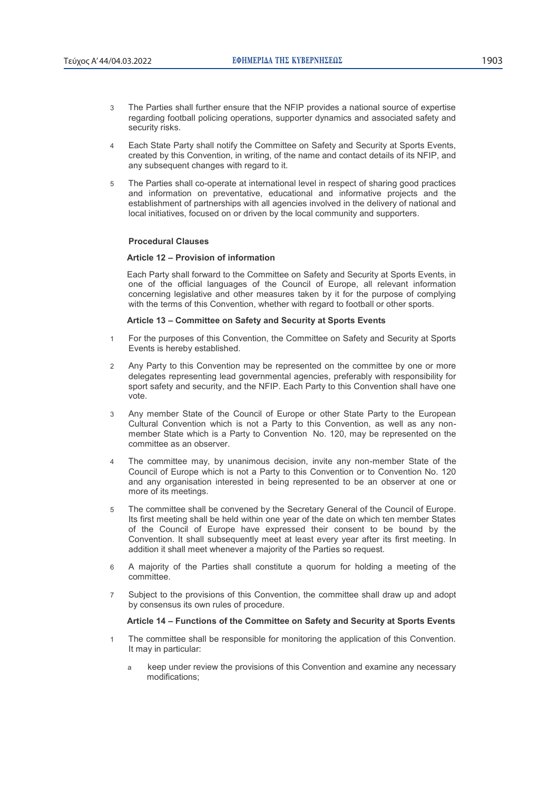- 3 The Parties shall further ensure that the NFIP provides a national source of expertise regarding football policing operations, supporter dynamics and associated safety and security risks.
- 4 Each State Party shall notify the Committee on Safety and Security at Sports Events, created by this Convention, in writing, of the name and contact details of its NFIP, and any subsequent changes with regard to it.
- 5 The Parties shall co-operate at international level in respect of sharing good practices and information on preventative, educational and informative projects and the establishment of partnerships with all agencies involved in the delivery of national and local initiatives, focused on or driven by the local community and supporters.

# **Procedural Clauses**

# **Article 12 – Provision of information**

Each Party shall forward to the Committee on Safety and Security at Sports Events, in one of the official languages of the Council of Europe, all relevant information concerning legislative and other measures taken by it for the purpose of complying with the terms of this Convention, whether with regard to football or other sports.

#### **Article 13 – Committee on Safety and Security at Sports Events**

- 1 For the purposes of this Convention, the Committee on Safety and Security at Sports Events is hereby established.
- 2 Any Party to this Convention may be represented on the committee by one or more delegates representing lead governmental agencies, preferably with responsibility for sport safety and security, and the NFIP. Each Party to this Convention shall have one vote.
- 3 Any member State of the Council of Europe or other State Party to the European Cultural Convention which is not a Party to this Convention, as well as any nonmember State which is a Party to Convention No. 120, may be represented on the committee as an observer.
- 4 The committee may, by unanimous decision, invite any non-member State of the Council of Europe which is not a Party to this Convention or to Convention No. 120 and any organisation interested in being represented to be an observer at one or more of its meetings.
- 5 The committee shall be convened by the Secretary General of the Council of Europe. Its first meeting shall be held within one year of the date on which ten member States of the Council of Europe have expressed their consent to be bound by the Convention. It shall subsequently meet at least every year after its first meeting. In addition it shall meet whenever a majority of the Parties so request.
- 6 A majority of the Parties shall constitute a quorum for holding a meeting of the committee.
- 7 Subject to the provisions of this Convention, the committee shall draw up and adopt by consensus its own rules of procedure.

# **Article 14 – Functions of the Committee on Safety and Security at Sports Events**

- 1 The committee shall be responsible for monitoring the application of this Convention. It may in particular:
	- a keep under review the provisions of this Convention and examine any necessary modifications;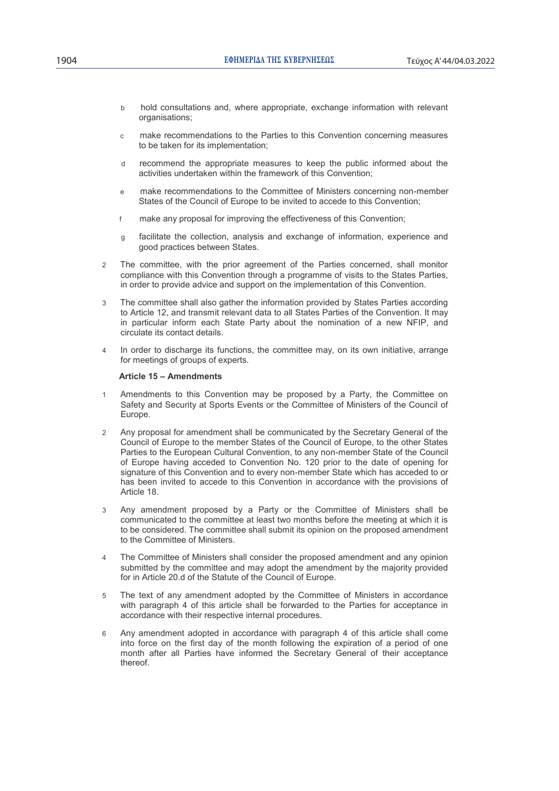- b hold consultations and, where appropriate, exchange information with relevant organisations;
- make recommendations to the Parties to this Convention concerning measures to be taken for its implementation;
- d recommend the appropriate measures to keep the public informed about the activities undertaken within the framework of this Convention;
- e make recommendations to the Committee of Ministers concerning non-member States of the Council of Europe to be invited to accede to this Convention;
- f make any proposal for improving the effectiveness of this Convention;
- g facilitate the collection, analysis and exchange of information, experience and good practices between States.
- 2 The committee, with the prior agreement of the Parties concerned, shall monitor compliance with this Convention through a programme of visits to the States Parties, in order to provide advice and support on the implementation of this Convention.
- 3 The committee shall also gather the information provided by States Parties according to Article 12, and transmit relevant data to all States Parties of the Convention. It may in particular inform each State Party about the nomination of a new NFIP, and circulate its contact details.
- 4 In order to discharge its functions, the committee may, on its own initiative, arrange for meetings of groups of experts.

### **Article 15 – Amendments**

- 1 Amendments to this Convention may be proposed by a Party, the Committee on Safety and Security at Sports Events or the Committee of Ministers of the Council of Europe.
- 2 Any proposal for amendment shall be communicated by the Secretary General of the Council of Europe to the member States of the Council of Europe, to the other States Parties to the European Cultural Convention, to any non-member State of the Council of Europe having acceded to Convention No. 120 prior to the date of opening for signature of this Convention and to every non-member State which has acceded to or has been invited to accede to this Convention in accordance with the provisions of Article 18.
- 3 Any amendment proposed by a Party or the Committee of Ministers shall be communicated to the committee at least two months before the meeting at which it is to be considered. The committee shall submit its opinion on the proposed amendment to the Committee of Ministers.
- 4 The Committee of Ministers shall consider the proposed amendment and any opinion submitted by the committee and may adopt the amendment by the majority provided for in Article 20.d of the Statute of the Council of Europe.
- 5 The text of any amendment adopted by the Committee of Ministers in accordance with paragraph 4 of this article shall be forwarded to the Parties for acceptance in accordance with their respective internal procedures.
- 6 Any amendment adopted in accordance with paragraph 4 of this article shall come into force on the first day of the month following the expiration of a period of one month after all Parties have informed the Secretary General of their acceptance thereof.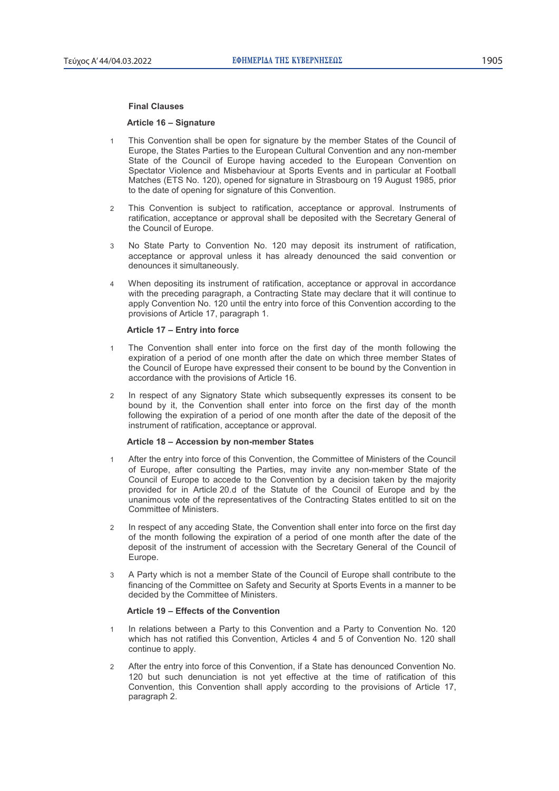#### **Final Clauses**

# **Article 16 – Signature**

- 1 This Convention shall be open for signature by the member States of the Council of Europe, the States Parties to the European Cultural Convention and any non-member State of the Council of Europe having acceded to the European Convention on Spectator Violence and Misbehaviour at Sports Events and in particular at Football Matches (ETS No. 120), opened for signature in Strasbourg on 19 August 1985, prior to the date of opening for signature of this Convention.
- 2 This Convention is subject to ratification, acceptance or approval. Instruments of ratification, acceptance or approval shall be deposited with the Secretary General of the Council of Europe.
- 3 No State Party to Convention No. 120 may deposit its instrument of ratification, acceptance or approval unless it has already denounced the said convention or denounces it simultaneously.
- 4 When depositing its instrument of ratification, acceptance or approval in accordance with the preceding paragraph, a Contracting State may declare that it will continue to apply Convention No. 120 until the entry into force of this Convention according to the provisions of Article 17, paragraph 1.

#### **Article 17 – Entry into force**

- 1 The Convention shall enter into force on the first day of the month following the expiration of a period of one month after the date on which three member States of the Council of Europe have expressed their consent to be bound by the Convention in accordance with the provisions of Article 16.
- 2 In respect of any Signatory State which subsequently expresses its consent to be bound by it, the Convention shall enter into force on the first day of the month following the expiration of a period of one month after the date of the deposit of the instrument of ratification, acceptance or approval.

# **Article 18 – Accession by non-member States**

- 1 After the entry into force of this Convention, the Committee of Ministers of the Council of Europe, after consulting the Parties, may invite any non-member State of the Council of Europe to accede to the Convention by a decision taken by the majority provided for in Article 20.d of the Statute of the Council of Europe and by the unanimous vote of the representatives of the Contracting States entitled to sit on the Committee of Ministers.
- 2 In respect of any acceding State, the Convention shall enter into force on the first day of the month following the expiration of a period of one month after the date of the deposit of the instrument of accession with the Secretary General of the Council of Europe.
- 3 A Party which is not a member State of the Council of Europe shall contribute to the financing of the Committee on Safety and Security at Sports Events in a manner to be decided by the Committee of Ministers.

# **Article 19 – Effects of the Convention**

- 1 In relations between a Party to this Convention and a Party to Convention No. 120 which has not ratified this Convention, Articles 4 and 5 of Convention No. 120 shall continue to apply.
- After the entry into force of this Convention, if a State has denounced Convention No. 120 but such denunciation is not yet effective at the time of ratification of this Convention, this Convention shall apply according to the provisions of Article 17, paragraph 2.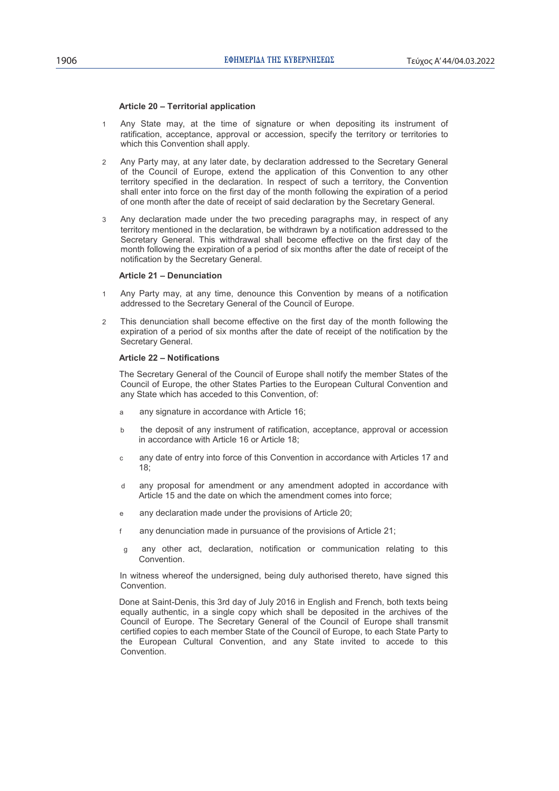#### **Article 20 – Territorial application**

- 1 Any State may, at the time of signature or when depositing its instrument of ratification, acceptance, approval or accession, specify the territory or territories to which this Convention shall apply.
- 2 Any Party may, at any later date, by declaration addressed to the Secretary General of the Council of Europe, extend the application of this Convention to any other territory specified in the declaration. In respect of such a territory, the Convention shall enter into force on the first day of the month following the expiration of a period of one month after the date of receipt of said declaration by the Secretary General.
- 3 Any declaration made under the two preceding paragraphs may, in respect of any territory mentioned in the declaration, be withdrawn by a notification addressed to the Secretary General. This withdrawal shall become effective on the first day of the month following the expiration of a period of six months after the date of receipt of the notification by the Secretary General.

#### **Article 21 – Denunciation**

- 1 Any Party may, at any time, denounce this Convention by means of a notification addressed to the Secretary General of the Council of Europe.
- 2 This denunciation shall become effective on the first day of the month following the expiration of a period of six months after the date of receipt of the notification by the Secretary General.

# **Article 22 – Notifications**

The Secretary General of the Council of Europe shall notify the member States of the Council of Europe, the other States Parties to the European Cultural Convention and any State which has acceded to this Convention, of:

- a any signature in accordance with Article 16;
- b the deposit of any instrument of ratification, acceptance, approval or accession in accordance with Article 16 or Article 18;
- c any date of entry into force of this Convention in accordance with Articles 17 and 18;
- d any proposal for amendment or any amendment adopted in accordance with Article 15 and the date on which the amendment comes into force;
- any declaration made under the provisions of Article 20;
- f any denunciation made in pursuance of the provisions of Article 21;
- g any other act, declaration, notification or communication relating to this Convention.

In witness whereof the undersigned, being duly authorised thereto, have signed this Convention.

Done at Saint-Denis, this 3rd day of July 2016 in English and French, both texts being equally authentic, in a single copy which shall be deposited in the archives of the Council of Europe. The Secretary General of the Council of Europe shall transmit certified copies to each member State of the Council of Europe, to each State Party to the European Cultural Convention, and any State invited to accede to this Convention.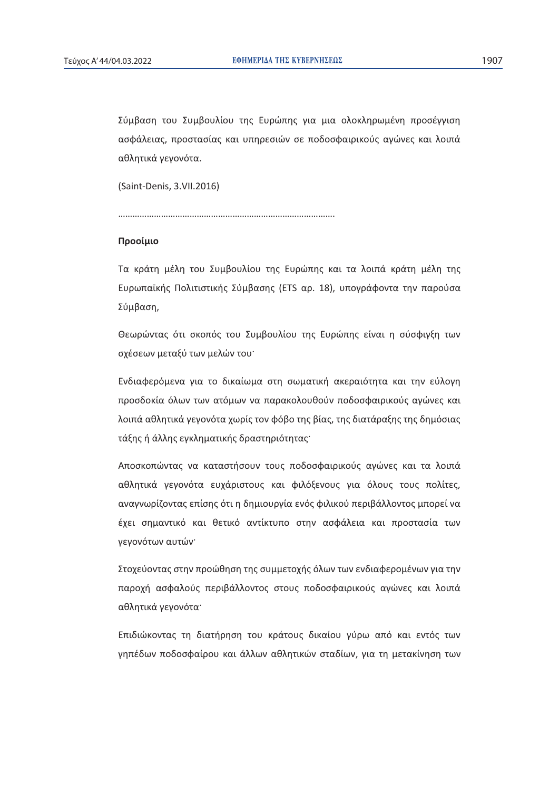Σύμβαση του Συμβουλίου της Ευρώπης για μια ολοκληρωμένη προσέγγιση ασφάλειας, προστασίας και υπηρεσιών σε ποδοσφαιρικούς αγώνες και λοιπά αθλητικά γεγονότα.

(Saint-Denis, 3.VII.2016)

……………………………………………………………………………….

# **Προοίμιο**

Τα κράτη μέλη του Συμβουλίου της Ευρώπης και τα λοιπά κράτη μέλη της Ευρωπαϊκής Πολιτιστικής Σύμβασης (ETS αρ. 18), υπογράφοντα την παρούσα Σύμβαση,

Θεωρώντας ότι σκοπός του Συμβουλίου της Ευρώπης είναι η σύσφιγξη των σχέσεων μεταξύ των μελών του·

Ενδιαφερόμενα για το δικαίωμα στη σωματική ακεραιότητα και την εύλογη προσδοκία όλων των ατόμων να παρακολουθούν ποδοσφαιρικούς αγώνες και λοιπά αθλητικά γεγονότα χωρίς τον φόβο της βίας, της διατάραξης της δημόσιας τάξης ή άλλης εγκληματικής δραστηριότητας<sup>·</sup>

Aποσκοπώντας να καταστήσουν τους ποδοσφαιρικούς αγώνες και τα λοιπά αθλητικά γεγονότα ευχάριστους και φιλόξενους για όλους τους πολίτες, αναγνωρίζοντας επίσης ότι η δημιουργία ενός φιλικού περιβάλλοντος μπορεί να έχει σημαντικό και θετικό αντίκτυπο στην ασφάλεια και προστασία των γεγονότων αυτών·

Στοχεύοντας στην προώθηση της συμμετοχής όλων των ενδιαφερομένων για την παροχή ασφαλούς περιβάλλοντος στους ποδοσφαιρικούς αγώνες και λοιπά αθλητικά γεγονότα·

Επιδιώκοντας τη διατήρηση του κράτους δικαίου γύρω από και εντός των γηπέδων ποδοσφαίρου και άλλων αθλητικών σταδίων, για τη μετακίνηση των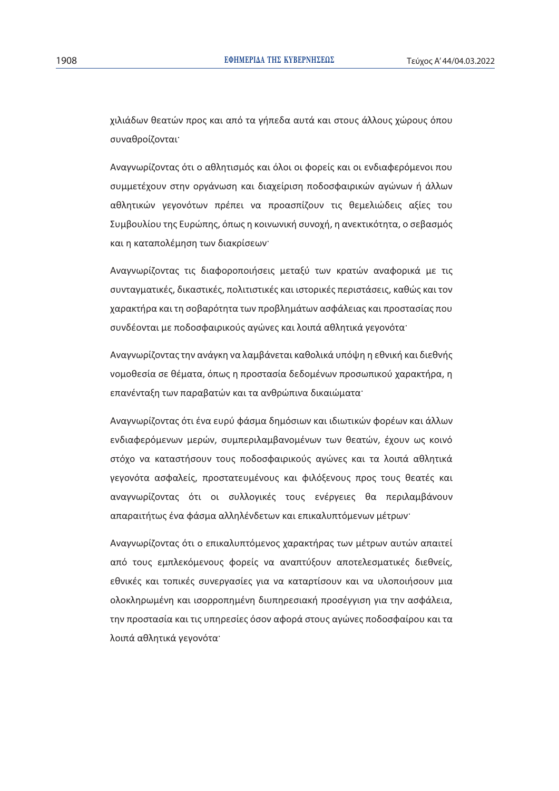χιλιάδων θεατών προς και από τα γήπεδα αυτά και στους άλλους χώρους όπου συναθροίζονται<sup>.</sup>

Aναγνωρίζοντας ότι ο αθλητισμός και όλοι οι φορείς και οι ενδιαφερόμενοι που συμμετέχουν στην οργάνωση και διαχείριση ποδοσφαιρικών αγώνων ή άλλων αθλητικών γεγονότων πρέπει να προασπίζουν τις θεμελιώδεις αξίες του Συμβουλίου της Ευρώπης, όπως η κοινωνική συνοχή, η ανεκτικότητα, ο σεβασμός και η καταπολέμηση των διακρίσεων·

Αναγνωρίζοντας τις διαφοροποιήσεις μεταξύ των κρατών αναφορικά με τις συνταγματικές, δικαστικές, πολιτιστικές και ιστορικές περιστάσεις, καθώς και τον χαρακτήρα και τη σοβαρότητα των προβλημάτων ασφάλειας και προστασίας που συνδέονται με ποδοσφαιρικούς αγώνες και λοιπά αθλητικά γεγονότα<sup>.</sup>

Αναγνωρίζοντας την ανάγκη να λαμβάνεται καθολικά υπόψη η εθνική και διεθνής νομοθεσία σε θέματα, όπως η προστασία δεδομένων προσωπικού χαρακτήρα, η επανένταξη των παραβατών και τα ανθρώπινα δικαιώματα<sup>.</sup>

Aναγνωρίζοντας ότι ένα ευρύ φάσμα δημόσιων και ιδιωτικών φορέων και άλλων ενδιαφερόμενων μερών, συμπεριλαμβανομένων των θεατών, έχουν ως κοινό στόχο να καταστήσουν τους ποδοσφαιρικούς αγώνες και τα λοιπά αθλητικά γεγονότα ασφαλείς, προστατευμένους και φιλόξενους προς τους θεατές και αναγνωρίζοντας ότι οι συλλογικές τους ενέργειες θα περιλαμβάνουν απαραιτήτως ένα φάσμα αλληλένδετων και επικαλυπτόμενων μέτρων·

Aναγνωρίζοντας ότι ο επικαλυπτόμενος χαρακτήρας των μέτρων αυτών απαιτεί από τους εμπλεκόμενους φορείς να αναπτύξουν αποτελεσματικές διεθνείς, εθνικές και τοπικές συνεργασίες για να καταρτίσουν και να υλοποιήσουν μια ολοκληρωμένη και ισορροπημένη διυπηρεσιακή προσέγγιση για την ασφάλεια, την προστασία και τις υπηρεσίες όσον αφορά στους αγώνες ποδοσφαίρου και τα λοιπά αθλητικά γεγονότα·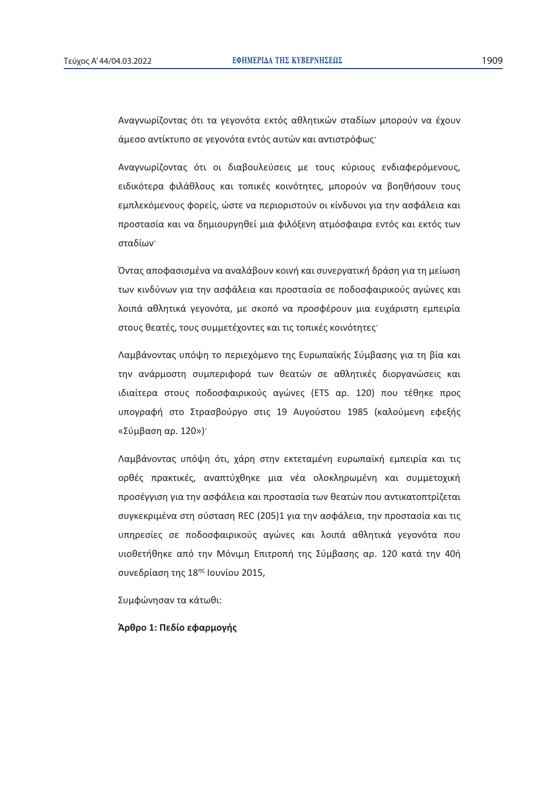Αναγνωρίζοντας ότι τα γεγονότα εκτός αθλητικών σταδίων μπορούν να έχουν άμεσο αντίκτυπο σε γεγονότα εντός αυτών και αντιστρόφως·

Aναγνωρίζοντας ότι οι διαβουλεύσεις με τους κύριους ενδιαφερόμενους, ειδικότερα φιλάθλους και τοπικές κοινότητες, μπορούν να βοηθήσουν τους εμπλεκόμενους φορείς, ώστε να περιοριστούν οι κίνδυνοι για την ασφάλεια και προστασία και να δημιουργηθεί μια φιλόξενη ατμόσφαιρα εντός και εκτός των σταδίων·

Όντας αποφασισμένα να αναλάβουν κοινή και συνεργατική δράση για τη μείωση των κινδύνων για την ασφάλεια και προστασία σε ποδοσφαιρικούς αγώνες και λοιπά αθλητικά γεγονότα, με σκοπό να προσφέρουν μια ευχάριστη εμπειρία στους θεατές, τους συμμετέχοντες και τις τοπικές κοινότητες<sup>·</sup>

Λαμβάνοντας υπόψη το περιεχόμενο της Ευρωπαϊκής Σύμβασης για τη βία και την ανάρμοστη συμπεριφορά των θεατών σε αθλητικές διοργανώσεις και ιδιαίτερα στους ποδοσφαιρικούς αγώνες (ETS αρ. 120) που τέθηκε προς υπογραφή στο Στρασβούργο στις 19 Αυγούστου 1985 (καλούμενη εφεξής «Σύμβαση αρ. 120»)<sup>.</sup>

Λαμβάνοντας υπόψη ότι, χάρη στην εκτεταμένη ευρωπαϊκή εμπειρία και τις oρθές πρακτικές, αναπτύχθηκε μια νέα ολοκληρωμένη και συμμετοχική προσέγγιση για την ασφάλεια και προστασία των θεατών που αντικατοπτρίζεται συγκεκριμένα στη σύσταση REC (205)1 για την ασφάλεια, την προστασία και τις υπηρεσίες σε ποδοσφαιρικούς αγώνες και λοιπά αθλητικά γεγονότα που υιοθετήθηκε από την Μόνιμη Επιτροπή της Σύμβασης αρ. 120 κατά την 40ή συνεδρίαση της 18ης Ιουνίου 2015,

Συμφώνησαν τα κάτωθι:

# $A$ ρθρο 1: Πεδίο εφαρμογής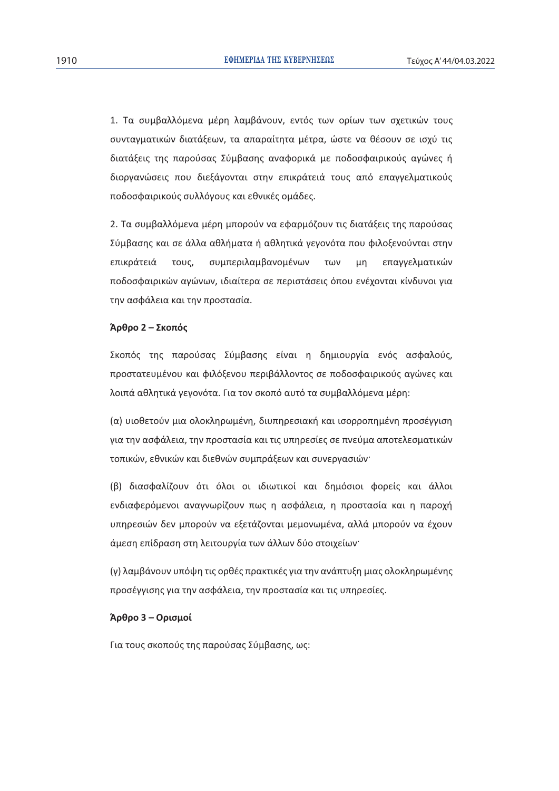1. Τα συμβαλλόμενα μέρη λαμβάνουν, εντός των ορίων των σχετικών τους συνταγματικών διατάξεων, τα απαραίτητα μέτρα, ώστε να θέσουν σε ισχύ τις διατάξεις της παρούσας Σύμβασης αναφορικά με ποδοσφαιρικούς αγώνες ή διοργανώσεις που διεξάγονται στην επικράτειά τους από επαγγελματικούς ποδοσφαιρικούς συλλόγους και εθνικές ομάδες.

2. Τα συμβαλλόμενα μέρη μπορούν να εφαρμόζουν τις διατάξεις της παρούσας Σύμβασης και σε άλλα αθλήματα ή αθλητικά γεγονότα που φιλοξενούνται στην επικράτειά τους, συμπεριλαμβανομένων των μη επαγγελματικών ποδοσφαιρικών αγώνων, ιδιαίτερα σε περιστάσεις όπου ενέχονται κίνδυνοι για την ασφάλεια και την προστασία.

# $$

Σκοπός της παρούσας Σύμβασης είναι η δημιουργία ενός ασφαλούς, προστατευμένου και φιλόξενου περιβάλλοντος σε ποδοσφαιρικούς αγώνες και λοιπά αθλητικά γεγονότα. Για τον σκοπό αυτό τα συμβαλλόμενα μέρη:

(α) υιοθετούν μια ολοκληρωμένη, διυπηρεσιακή και ισορροπημένη προσέγγιση για την ασφάλεια, την προστασία και τις υπηρεσίες σε πνεύμα αποτελεσματικών τοπικών, εθνικών και διεθνών συμπράξεων και συνεργασιών·

(β) διασφαλίζουν ότι όλοι οι ιδιωτικοί και δημόσιοι φορείς και άλλοι ενδιαφερόμενοι αναγνωρίζουν πως η ασφάλεια, η προστασία και η παροχή υπηρεσιών δεν μπορούν να εξετάζονται μεμονωμένα, αλλά μπορούν να έχουν άμεση επίδραση στη λειτουργία των άλλων δύο στοιχείων·

(γ) λαμβάνουν υπόψη τις ορθές πρακτικές για την ανάπτυξη μιας ολοκληρωμένης προσέγγισης για την ασφάλεια, την προστασία και τις υπηρεσίες.

# **ᠱ**

Για τους σκοπούς της παρούσας Σύμβασης, ως: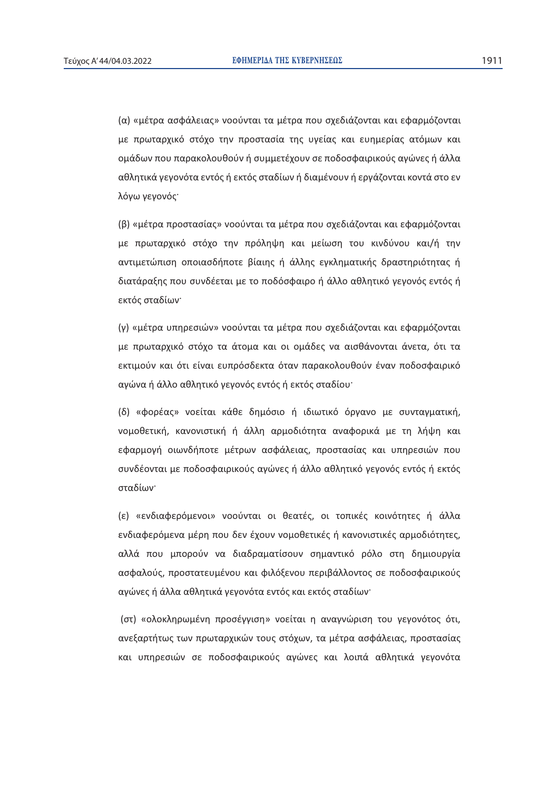(α) «μέτρα ασφάλειας» νοούνται τα μέτρα που σχεδιάζονται και εφαρμόζονται με πρωταρχικό στόχο την προστασία της υγείας και ευημερίας ατόμων και ομάδων που παρακολουθούν ή συμμετέχουν σε ποδοσφαιρικούς αγώνες ή άλλα αθλητικά γεγονότα εντός ή εκτός σταδίων ή διαμένουν ή εργάζονται κοντά στο εν λόγω γεγονός·

(β) «μέτρα προστασίας» νοούνται τα μέτρα που σχεδιάζονται και εφαρμόζονται με πρωταρχικό στόχο την πρόληψη και μείωση του κινδύνου και/ή την αντιμετώπιση οποιασδήποτε βίαιης ή άλλης εγκληματικής δραστηριότητας ή διατάραξης που συνδέεται με το ποδόσφαιρο ή άλλο αθλητικό γεγονός εντός ή εκτός σταδίων·

(γ) «μέτρα υπηρεσιών» νοούνται τα μέτρα που σχεδιάζονται και εφαρμόζονται με πρωταρχικό στόχο τα άτομα και οι ομάδες να αισθάνονται άνετα, ότι τα εκτιμούν και ότι είναι ευπρόσδεκτα όταν παρακολουθούν έναν ποδοσφαιρικό αγώνα ή άλλο αθλητικό γεγονός εντός ή εκτός σταδίου·

(δ) «φορέας» νοείται κάθε δημόσιο ή ιδιωτικό όργανο με συνταγματική, νομοθετική, κανονιστική ή άλλη αρμοδιότητα αναφορικά με τη λήψη και εφαρμογή οιωνδήποτε μέτρων ασφάλειας, προστασίας και υπηρεσιών που συνδέονται με ποδοσφαιρικούς αγώνες ή άλλο αθλητικό γεγονός εντός ή εκτός σταδίων·

(ε) «ενδιαφερόμενοι» νοούνται οι θεατές, οι τοπικές κοινότητες ή άλλα ενδιαφερόμενα μέρη που δεν έχουν νομοθετικές ή κανονιστικές αρμοδιότητες, αλλά που μπορούν να διαδραματίσουν σημαντικό ρόλο στη δημιουργία aσφαλούς, προστατευμένου και φιλόξενου περιβάλλοντος σε ποδοσφαιρικούς αγώνες ή άλλα αθλητικά γεγονότα εντός και εκτός σταδίων<sup>.</sup>

(στ) «ολοκληρωμένη προσέγγιση» νοείται η αναγνώριση του γεγονότος ότι, ανεξαρτήτως των πρωταρχικών τους στόχων, τα μέτρα ασφάλειας, προστασίας και υπηρεσιών σε ποδοσφαιρικούς αγώνες και λοιπά αθλητικά γεγονότα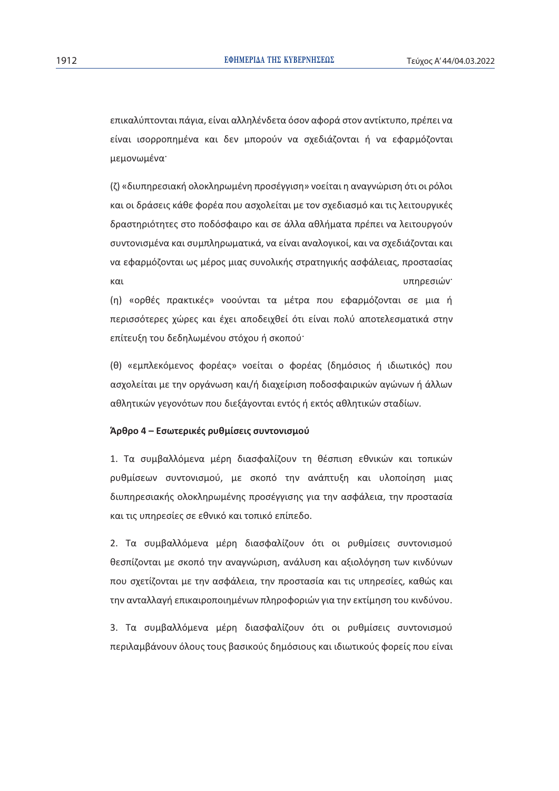επικαλύπτονται πάγια, είναι αλληλένδετα όσον αφορά στον αντίκτυπο, πρέπει να είναι ισορροπημένα και δεν μπορούν να σχεδιάζονται ή να εφαρμόζονται μεμονωμένα

(ζ) «διυπηρεσιακή ολοκληρωμένη προσέγγιση» νοείται η αναγνώριση ότι οι ρόλοι και οι δράσεις κάθε φορέα που ασχολείται με τον σχεδιασμό και τις λειτουργικές δραστηριότητες στο ποδόσφαιρο και σε άλλα αθλήματα πρέπει να λειτουργούν συντονισμένα και συμπληρωματικά, να είναι αναλογικοί, και να σχεδιάζονται και να εφαρμόζονται ως μέρος μιας συνολικής στρατηγικής ασφάλειας, προστασίας και στην προσωπική του και το προσωπικό του και το προσωπικό του και το προσωπικού στην στην στην στην στην στ

(η) «ορθές πρακτικές» νοούνται τα μέτρα που εφαρμόζονται σε μια ή περισσότερες χώρες και έχει αποδειχθεί ότι είναι πολύ αποτελεσματικά στην επίτευξη του δεδηλωμένου στόχου ή σκοπού<sup>·</sup>

(θ) «εμπλεκόμενος φορέας» νοείται ο φορέας (δημόσιος ή ιδιωτικός) που ασχολείται με την οργάνωση και/ή διαχείριση ποδοσφαιρικών αγώνων ή άλλων αθλητικών γεγονότων που διεξάγονται εντός ή εκτός αθλητικών σταδίων.

# $A$ ρθρο 4 – Εσωτερικές ρυθμίσεις συντονισμού

1. Τα συμβαλλόμενα μέρη διασφαλίζουν τη θέσπιση εθνικών και τοπικών  $\rho$ υθμίσεων συντονισμού, με σκοπό την ανάπτυξη και υλοποίηση μιας διυπηρεσιακής ολοκληρωμένης προσέγγισης για την ασφάλεια, την προστασία και τις υπηρεσίες σε εθνικό και τοπικό επίπεδο.

2. Τα συμβαλλόμενα μέρη διασφαλίζουν ότι οι ρυθμίσεις συντονισμού θεσπίζονται με σκοπό την αναγνώριση, ανάλυση και αξιολόγηση των κινδύνων που σχετίζονται με την ασφάλεια, την προστασία και τις υπηρεσίες, καθώς και την ανταλλαγή επικαιροποιημένων πληροφοριών για την εκτίμηση του κινδύνου.

3. Τα συμβαλλόμενα μέρη διασφαλίζουν ότι οι ρυθμίσεις συντονισμού περιλαμβάνουν όλους τους βασικούς δημόσιους και ιδιωτικούς φορείς που είναι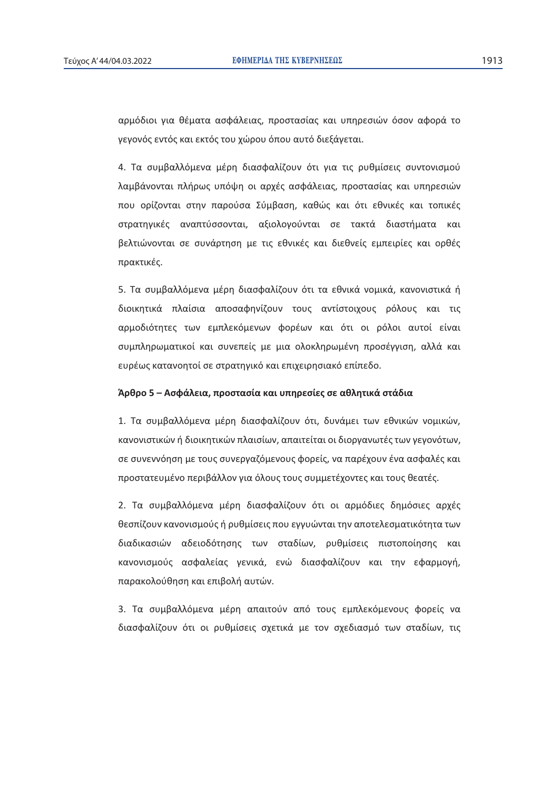αρμόδιοι για θέματα ασφάλειας, προστασίας και υπηρεσιών όσον αφορά το γεγονός εντός και εκτός του χώρου όπου αυτό διεξάγεται.

4. Τα συμβαλλόμενα μέρη διασφαλίζουν ότι για τις ρυθμίσεις συντονισμού λαμβάνονται πλήρως υπόψη οι αρχές ασφάλειας, προστασίας και υπηρεσιών που ορίζονται στην παρούσα Σύμβαση, καθώς και ότι εθνικές και τοπικές στρατηγικές αναπτύσσονται, αξιολογούνται σε τακτά διαστήματα και βελτιώνονται σε συνάρτηση με τις εθνικές και διεθνείς εμπειρίες και ορθές πρακτικές.

5. Τα συμβαλλόμενα μέρη διασφαλίζουν ότι τα εθνικά νομικά, κανονιστικά ή διοικητικά πλαίσια αποσαφηνίζουν τους αντίστοιχους ρόλους και τις αρμοδιότητες των εμπλεκόμενων φορέων και ότι οι ρόλοι αυτοί είναι συμπληρωματικοί και συνεπείς με μια ολοκληρωμένη προσέγγιση, αλλά και ευρέως κατανοητοί σε στρατηγικό και επιχειρησιακό επίπεδο.

# $A$ ρθρο 5 – Ασφάλεια, προστασία και υπηρεσίες σε αθλητικά στάδια

1. Τα συμβαλλόμενα μέρη διασφαλίζουν ότι, δυνάμει των εθνικών νομικών, κανονιστικών ή διοικητικών πλαισίων, απαιτείται οι διοργανωτές των γεγονότων, σε συνεννόηση με τους συνεργαζόμενους φορείς, να παρέχουν ένα ασφαλές και προστατευμένο περιβάλλον για όλους τους συμμετέχοντες και τους θεατές.

2. Τα συμβαλλόμενα μέρη διασφαλίζουν ότι οι αρμόδιες δημόσιες αρχές θεσπίζουν κανονισμούς ή ρυθμίσεις που εγγυώνται την αποτελεσματικότητα των διαδικασιών αδειοδότησης των σταδίων, ρυθμίσεις πιστοποίησης και κανονισμούς ασφαλείας γενικά, ενώ διασφαλίζουν και την εφαρμογή, παρακολούθηση και επιβολή αυτών.

3. Τα συμβαλλόμενα μέρη απαιτούν από τους εμπλεκόμενους φορείς να διασφαλίζουν ότι οι ρυθμίσεις σχετικά με τον σχεδιασμό των σταδίων, τις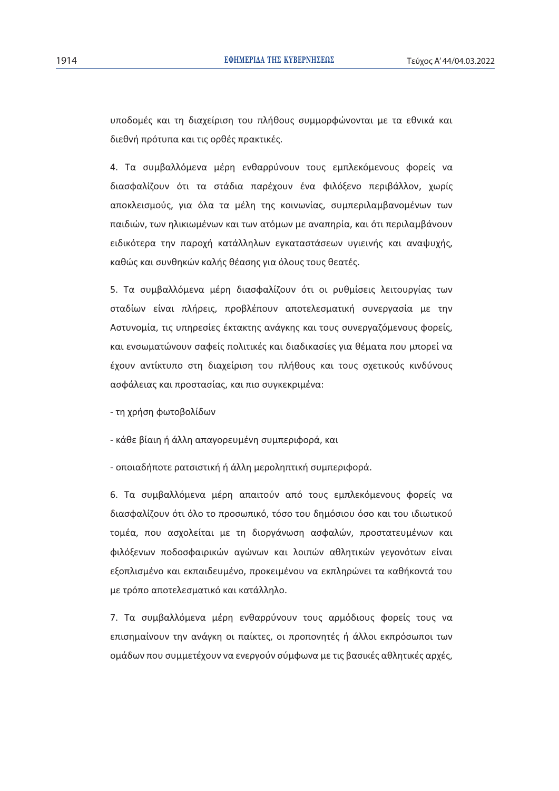υποδομές και τη διαχείριση του πλήθους συμμορφώνονται με τα εθνικά και διεθνή πρότυπα και τις ορθές πρακτικές.

4. Τα συμβαλλόμενα μέρη ενθαρρύνουν τους εμπλεκόμενους φορείς να διασφαλίζουν ότι τα στάδια παρέχουν ένα φιλόξενο περιβάλλον, χωρίς αποκλεισμούς, για όλα τα μέλη της κοινωνίας, συμπεριλαμβανομένων των παιδιών, των ηλικιωμένων και των ατόμων με αναπηρία, και ότι περιλαμβάνουν ειδικότερα την παροχή κατάλληλων εγκαταστάσεων υγιεινής και αναψυχής, καθώς και συνθηκών καλής θέασης για όλους τους θεατές.

5. Τα συμβαλλόμενα μέρη διασφαλίζουν ότι οι ρυθμίσεις λειτουργίας των σταδίων είναι πλήρεις, προβλέπουν αποτελεσματική συνεργασία με την Aστυνομία, τις υπηρεσίες έκτακτης ανάγκης και τους συνεργαζόμενους φορείς, και ενσωματώνουν σαφείς πολιτικές και διαδικασίες για θέματα που μπορεί να έχουν αντίκτυπο στη διαχείριση του πλήθους και τους σχετικούς κινδύνους aσφάλειας και προστασίας, και πιο συγκεκριμένα:

- τη χρήση φωτοβολίδων

- κάθε βίαιη ή άλλη απαγορευμένη συμπεριφορά, και

- οποιαδήποτε ρατσιστική ή άλλη μεροληπτική συμπεριφορά.

6. Τα συμβαλλόμενα μέρη απαιτούν από τους εμπλεκόμενους φορείς να διασφαλίζουν ότι όλο το προσωπικό, τόσο του δημόσιου όσο και του ιδιωτικού τομέα, που ασχολείται με τη διοργάνωση ασφαλών, προστατευμένων και φιλόξενων ποδοσφαιρικών ανώνων και λοιπών αθλητικών νενονότων είναι εξοπλισμένο και εκπαιδευμένο, προκειμένου να εκπληρώνει τα καθήκοντά του με τρόπο αποτελεσματικό και κατάλληλο.

7. Τα συμβαλλόμενα μέρη ενθαρρύνουν τους αρμόδιους φορείς τους να επισημαίνουν την ανάγκη οι παίκτες, οι προπονητές ή άλλοι εκπρόσωποι των <u>ομάδων που συμμετέχουν να ενεργούν σύμφωνα με τις βασικές αθλητικές αρχές,</u>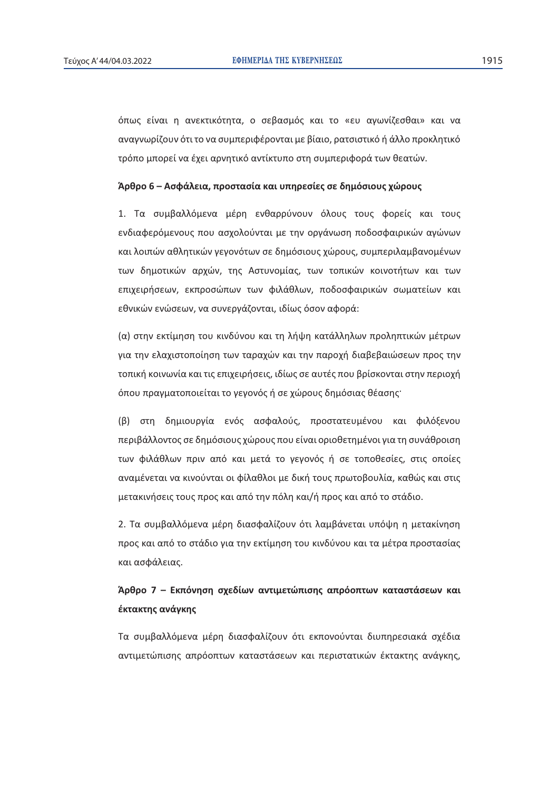όπως είναι η ανεκτικότητα, ο σεβασμός και το «ευ αγωνίζεσθαι» και να αναγνωρίζουν ότι το να συμπεριφέρονται με βίαιο, ρατσιστικό ή άλλο προκλητικό τρόπο μπορεί να έχει αρνητικό αντίκτυπο στη συμπεριφορά των θεατών.

# $\hat{A}$ ρθρο 6 – Ασφάλεια, προστασία και υπηρεσίες σε δημόσιους χώρους

1. Τα συμβαλλόμενα μέρη ενθαρρύνουν όλους τους φορείς και τους ενδιαφερόμενους που ασχολούνται με την οργάνωση ποδοσφαιρικών αγώνων και λοιπών αθλητικών γεγονότων σε δημόσιους χώρους, συμπεριλαμβανομένων των δημοτικών αρχών, της Αστυνομίας, των τοπικών κοινοτήτων και των επιχειρήσεων, εκπροσώπων των φιλάθλων, ποδοσφαιρικών σωματείων και εθνικών ενώσεων, να συνεργάζονται, ιδίως όσον αφορά:

(α) στην εκτίμηση του κινδύνου και τη λήψη κατάλληλων προληπτικών μέτρων για την ελαχιστοποίηση των ταραχών και την παροχή διαβεβαιώσεων προς την τοπική κοινωνία και τις επιχειρήσεις, ιδίως σε αυτές που βρίσκονται στην περιοχή <u>όπου πραγματοποιείται το γεγονός ή σε χώρους δημόσιας θέασης·</u>

(β) στη δημιουργία ενός ασφαλούς, προστατευμένου και φιλόξενου περιβάλλοντος σε δημόσιους χώρους που είναι οριοθετημένοι για τη συνάθροιση των φιλάθλων πριν από και μετά το γεγονός ή σε τοποθεσίες, στις οποίες αναμένεται να κινούνται οι φίλαθλοι με δική τους πρωτοβουλία, καθώς και στις μετακινήσεις τους προς και από την πόλη και/ή προς και από το στάδιο.

2. Τα συμβαλλόμενα μέρη διασφαλίζουν ότι λαμβάνεται υπόψη η μετακίνηση προς και από το στάδιο για την εκτίμηση του κινδύνου και τα μέτρα προστασίας και ασφάλειας.

# $A$ ρθρο 7 – Εκπόνηση σχεδίων αντιμετώπισης απρόοπτων καταστάσεων και **έκτακτης ανάγκης**

Tα συμβαλλόμενα μέρη διασφαλίζουν ότι εκπονούνται διυπηρεσιακά σχέδια αντιμετώπισης απρόοπτων καταστάσεων και περιστατικών έκτακτης ανάγκης,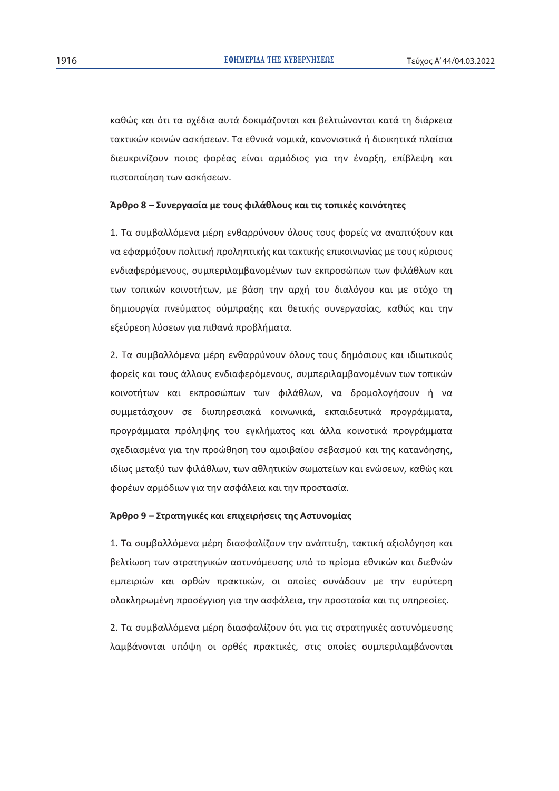καθώς και ότι τα σχέδια αυτά δοκιμάζονται και βελτιώνονται κατά τη διάρκεια τακτικών κοινών ασκήσεων. Τα εθνικά νομικά, κανονιστικά ή διοικητικά πλαίσια διευκρινίζουν ποιος φορέας είναι αρμόδιος για την έναρξη, επίβλεψη και πιστοποίηση των ασκήσεων.

# $\hat{A}$ ρθρο 8 – Συνεργασία με τους φιλάθλους και τις τοπικές κοινότητες

1. Τα συμβαλλόμενα μέρη ενθαρρύνουν όλους τους φορείς να αναπτύξουν και να εφαρμόζουν πολιτική προληπτικής και τακτικής επικοινωνίας με τους κύριους ενδιαφερόμενους, συμπεριλαμβανομένων των εκπροσώπων των φιλάθλων και των τοπικών κοινοτήτων, με βάση την αρχή του διαλόγου και με στόχο τη δημιουργία πνεύματος σύμπραξης και θετικής συνεργασίας, καθώς και την εξεύρεση λύσεων για πιθανά προβλήματα.

2. Τα συμβαλλόμενα μέρη ενθαρρύνουν όλους τους δημόσιους και ιδιωτικούς φορείς και τους άλλους ενδιαφερόμενους, συμπεριλαμβανομένων των τοπικών κοινοτήτων και εκπροσώπων των φιλάθλων, να δρομολογήσουν ή να συμμετάσχουν σε διυπηρεσιακά κοινωνικά, εκπαιδευτικά προγράμματα, προγράμματα πρόληψης του εγκλήματος και άλλα κοινοτικά προγράμματα σχεδιασμένα για την προώθηση του αμοιβαίου σεβασμού και της κατανόησης, ιδίως μεταξύ των φιλάθλων, των αθλητικών σωματείων και ενώσεων, καθώς και φορέων αρμόδιων για την ασφάλεια και την προστασία.

# $\mathbf{\hat{A}}$ ρθρο 9 – Στρατηγικές και επιχειρήσεις της Αστυνομίας

1. Τα συμβαλλόμενα μέρη διασφαλίζουν την ανάπτυξη, τακτική αξιολόγηση και βελτίωση των στρατηγικών αστυνόμευσης υπό το πρίσμα εθνικών και διεθνών εμπειριών και ορθών πρακτικών, οι οποίες συνάδουν με την ευρύτερη oλοκληρωμένη προσέγγιση για την ασφάλεια, την προστασία και τις υπηρεσίες.

2. Τα συμβαλλόμενα μέρη διασφαλίζουν ότι για τις στρατηγικές αστυνόμευσης λαμβάνονται υπόψη οι ορθές πρακτικές, στις οποίες συμπεριλαμβάνονται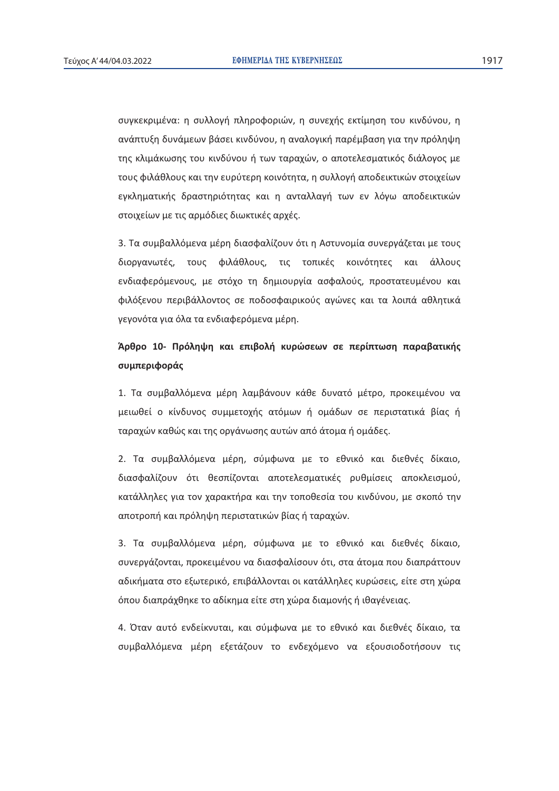συγκεκριμένα: η συλλογή πληροφοριών, η συνεχής εκτίμηση του κινδύνου, η ανάπτυξη δυνάμεων βάσει κινδύνου, η αναλογική παρέμβαση για την πρόληψη της κλιμάκωσης του κινδύνου ή των ταραχών, ο αποτελεσματικός διάλογος με τους φιλάθλους και την ευρύτερη κοινότητα, η συλλογή αποδεικτικών στοιχείων εγκληματικής δραστηριότητας και η ανταλλαγή των εν λόγω αποδεικτικών στοιχείων με τις αρμόδιες διωκτικές αρχές.

3. Τα συμβαλλόμενα μέρη διασφαλίζουν ότι η Αστυνομία συνεργάζεται με τους διοργανωτές, τους φιλάθλους, τις τοπικές κοινότητες και άλλους ενδιαφερόμενους, με στόχο τη δημιουργία ασφαλούς, προστατευμένου και φιλόξενου περιβάλλοντος σε ποδοσφαιρικούς αγώνες και τα λοιπά αθλητικά γεγονότα για όλα τα ενδιαφερόμενα μέρη.

# $\hat{A}$ ρθρο 10- Πρόληψη και επιβολή κυρώσεων σε περίπτωση παραβατικής **ʍʐʅʋɸʌɿʔʉʌɳʎ**

1. Τα συμβαλλόμενα μέρη λαμβάνουν κάθε δυνατό μέτρο, προκειμένου να μειωθεί ο κίνδυνος συμμετοχής ατόμων ή ομάδων σε περιστατικά βίας ή ταραχών καθώς και της οργάνωσης αυτών από άτομα ή ομάδες.

2. Τα συμβαλλόμενα μέρη, σύμφωνα με το εθνικό και διεθνές δίκαιο, διασφαλίζουν ότι θεσπίζονται αποτελεσματικές ρυθμίσεις αποκλεισμού, κατάλληλες για τον χαρακτήρα και την τοποθεσία του κινδύνου, με σκοπό την αποτροπή και πρόληψη περιστατικών βίας ή ταραχών.

3. Τα συμβαλλόμενα μέρη, σύμφωνα με το εθνικό και διεθνές δίκαιο, συνεργάζονται, προκειμένου να διασφαλίσουν ότι, στα άτομα που διαπράττουν αδικήματα στο εξωτερικό, επιβάλλονται οι κατάλληλες κυρώσεις, είτε στη χώρα όπου διαπράχθηκε το αδίκημα είτε στη χώρα διαμονής ή ιθαγένειας.

4. Όταν αυτό ενδείκνυται, και σύμφωνα με το εθνικό και διεθνές δίκαιο, τα συμβαλλόμενα μέρη εξετάζουν το ενδεχόμενο να εξουσιοδοτήσουν τις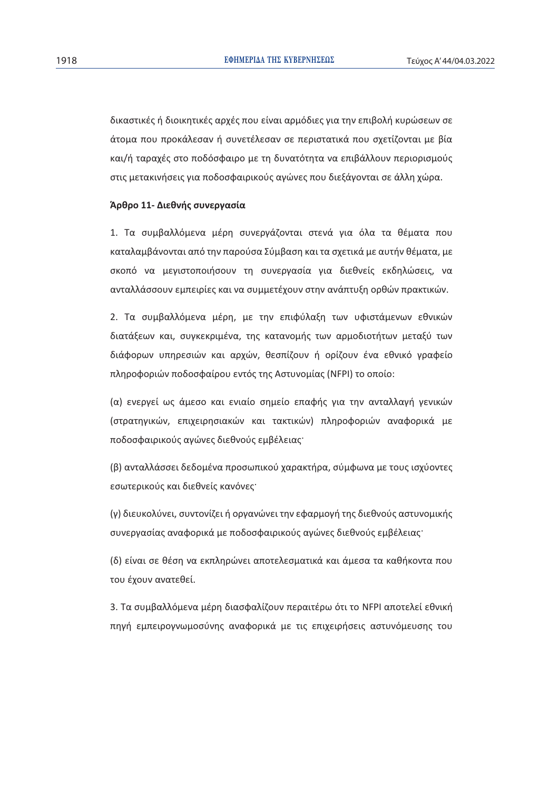δικαστικές ή διοικητικές αρχές που είναι αρμόδιες για την επιβολή κυρώσεων σε άτομα που προκάλεσαν ή συνετέλεσαν σε περιστατικά που σχετίζονται με βία και/ή ταραχές στο ποδόσφαιρο με τη δυνατότητα να επιβάλλουν περιορισμούς στις μετακινήσεις για ποδοσφαιρικούς αγώνες που διεξάγονται σε άλλη χώρα.

# $A$ ρθρο 11- Διεθνής συνεργασία

1. Τα συμβαλλόμενα μέρη συνεργάζονται στενά για όλα τα θέματα που καταλαμβάνονται από την παρούσα Σύμβαση και τα σχετικά με αυτήν θέματα, με σκοπό να μεγιστοποιήσουν τη συνεργασία για διεθνείς εκδηλώσεις, να ανταλλάσσουν εμπειρίες και να συμμετέχουν στην ανάπτυξη ορθών πρακτικών.

2. Τα συμβαλλόμενα μέρη, με την επιφύλαξη των υφιστάμενων εθνικών διατάξεων και, συγκεκριμένα, της κατανομής των αρμοδιοτήτων μεταξύ των διάφορων υπηρεσιών και αρχών, θεσπίζουν ή ορίζουν ένα εθνικό γραφείο πληροφοριών ποδοσφαίρου εντός της Αστυνομίας (NFPI) το οποίο:

(α) ενεργεί ως άμεσο και ενιαίο σημείο επαφής για την ανταλλαγή γενικών (στρατηγικών, επιχειρησιακών και τακτικών) πληροφοριών αναφορικά με ποδοσφαιρικούς αγώνες διεθνούς εμβέλειας

(β) ανταλλάσσει δεδομένα προσωπικού χαρακτήρα, σύμφωνα με τους ισχύοντες εσωτερικούς και διεθνείς κανόνες<sup>·</sup>

(γ) διευκολύνει, συντονίζει ή οργανώνει την εφαρμογή της διεθνούς αστυνομικής συνερνασίας αναφορικά με ποδοσφαιρικούς ανώνες διεθνούς εμβέλειας·

(δ) είναι σε θέση να εκπληρώνει αποτελεσματικά και άμεσα τα καθήκοντα που του έχουν ανατεθεί.

3. Τα συμβαλλόμενα μέρη διασφαλίζουν περαιτέρω ότι το NFPI αποτελεί εθνική πηγή εμπειρογνωμοσύνης αναφορικά με τις επιχειρήσεις αστυνόμευσης του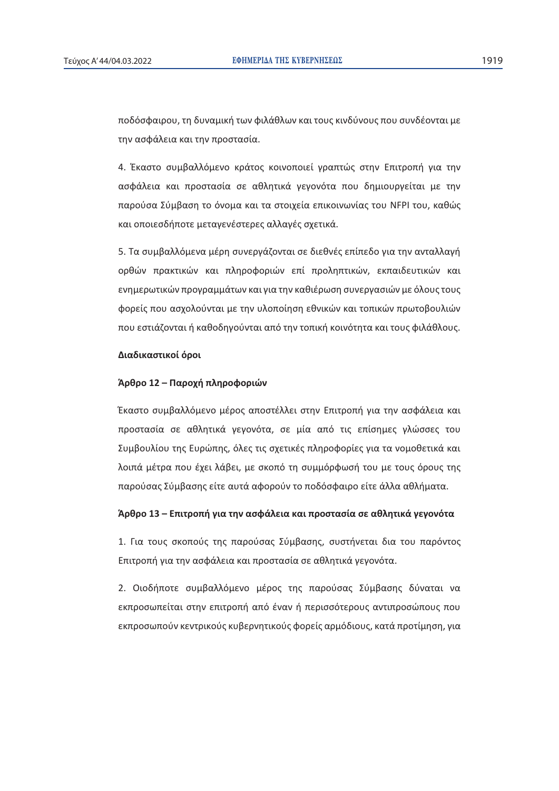ποδόσφαιρου, τη δυναμική των φιλάθλων και τους κινδύνους που συνδέονται με την ασφάλεια και την προστασία.

4. Έκαστο συμβαλλόμενο κράτος κοινοποιεί γραπτώς στην Επιτροπή για την ασφάλεια και προστασία σε αθλητικά γεγονότα που δημιουργείται με την παρούσα Σύμβαση το όνομα και τα στοιχεία επικοινωνίας του NFPI του, καθώς και οποιεσδήποτε μεταγενέστερες αλλαγές σχετικά.

5. Τα συμβαλλόμενα μέρη συνεργάζονται σε διεθνές επίπεδο για την ανταλλαγή ορθών πρακτικών και πληροφοριών επί προληπτικών, εκπαιδευτικών και ενημερωτικών προγραμμάτων και για την καθιέρωση συνεργασιών με όλους τους φορείς που ασχολούνται με την υλοποίηση εθνικών και τοπικών πρωτοβουλιών που εστιάζονται ή καθοδηγούνται από την τοπική κοινότητα και τους φιλάθλους.

# $\Delta$ ιαδικαστικοί όροι

# $\hat{A}$ ρθρο 12 – Παροχή πληροφοριών

Έκαστο συμβαλλόμενο μέρος αποστέλλει στην Επιτροπή για την ασφάλεια και προστασία σε αθλητικά γεγονότα, σε μία από τις επίσημες γλώσσες του Συμβουλίου της Ευρώπης, όλες τις σχετικές πληροφορίες για τα νομοθετικά και λοιπά μέτρα που έχει λάβει, με σκοπό τη συμμόρφωσή του με τους όρους της παρούσας Σύμβασης είτε αυτά αφορούν το ποδόσφαιρο είτε άλλα αθλήματα.

# $A$ ρθρο 13 – Επιτροπή για την ασφάλεια και προστασία σε αθλητικά γεγονότα

1. Για τους σκοπούς της παρούσας Σύμβασης, συστήνεται δια του παρόντος Eπιτροπή για την ασφάλεια και προστασία σε αθλητικά γεγονότα.

2. Οιοδήποτε συμβαλλόμενο μέρος της παρούσας Σύμβασης δύναται να εκπροσωπείται στην επιτροπή από έναν ή περισσότερους αντιπροσώπους που εκπροσωπούν κεντρικούς κυβερνητικούς φορείς αρμόδιους, κατά προτίμηση, για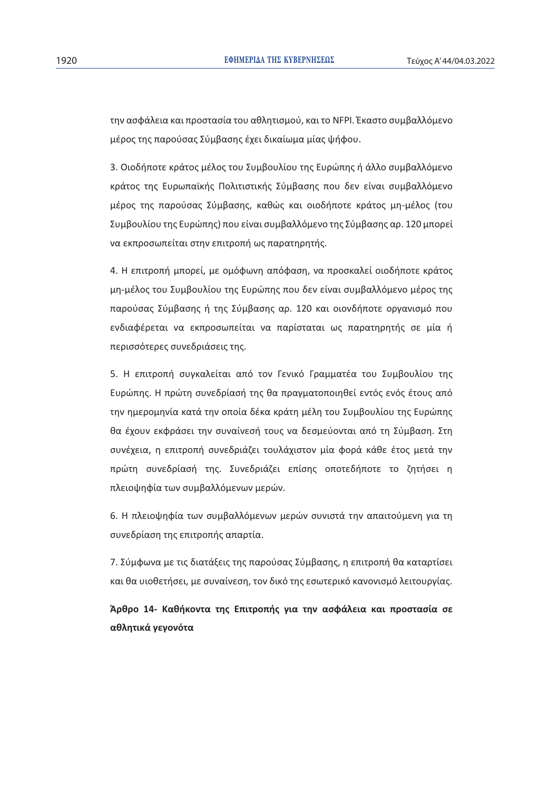την ασφάλεια και προστασία του αθλητισμού, και το NFPI. Έκαστο συμβαλλόμενο μέρος της παρούσας Σύμβασης έχει δικαίωμα μίας ψήφου.

3. Οιοδήποτε κράτος μέλος του Συμβουλίου της Ευρώπης ή άλλο συμβαλλόμενο κράτος της Ευρωπαϊκής Πολιτιστικής Σύμβασης που δεν είναι συμβαλλόμενο μέρος της παρούσας Σύμβασης, καθώς και οιοδήποτε κράτος μη-μέλος (του Συμβουλίου της Ευρώπης) που είναι συμβαλλόμενο της Σύμβασης αρ. 120 μπορεί να εκπροσωπείται στην επιτροπή ως παρατηρητής.

4. Η επιτροπή μπορεί, με ομόφωνη απόφαση, να προσκαλεί οιοδήποτε κράτος μη-μέλος του Συμβουλίου της Ευρώπης που δεν είναι συμβαλλόμενο μέρος της παρούσας Σύμβασης ή της Σύμβασης αρ. 120 και οιονδήποτε οργανισμό που ενδιαφέρεται να εκπροσωπείται να παρίσταται ως παρατηρητής σε μία ή περισσότερες συνεδριάσεις της.

5. Η επιτροπή συγκαλείται από τον Γενικό Γραμματέα του Συμβουλίου της Ευρώπης. Η πρώτη συνεδρίασή της θα πραγματοποιηθεί εντός ενός έτους από την ημερομηνία κατά την οποία δέκα κράτη μέλη του Συμβουλίου της Ευρώπης θα έχουν εκφράσει την συναίνεσή τους να δεσμεύονται από τη Σύμβαση. Στη συνέχεια, η επιτροπή συνεδριάζει τουλάχιστον μία φορά κάθε έτος μετά την πρώτη συνεδρίασή της. Συνεδριάζει επίσης οποτεδήποτε το ζητήσει η πλειοψηφία των συμβαλλόμενων μερών.

6. Η πλειοψηφία των συμβαλλόμενων μερών συνιστά την απαιτούμενη για τη συνεδρίαση της επιτροπής απαρτία.

7. Σύμφωνα με τις διατάξεις της παρούσας Σύμβασης, η επιτροπή θα καταρτίσει και θα υιοθετήσει, με συναίνεση, τον δικό της εσωτερικό κανονισμό λειτουργίας.

**ȱʌɽʌʉ 14- Ⱦɲɽɼʃʉʆʏɲ ʏɻʎ ȵʋɿʏʌʉʋɼʎ ɶɿɲ ʏɻʆ ɲʍʔɳʄɸɿɲ ʃɲɿ ʋʌʉʍʏɲʍʀɲ ʍɸ**  $\alpha$ θλητικά γεγονότα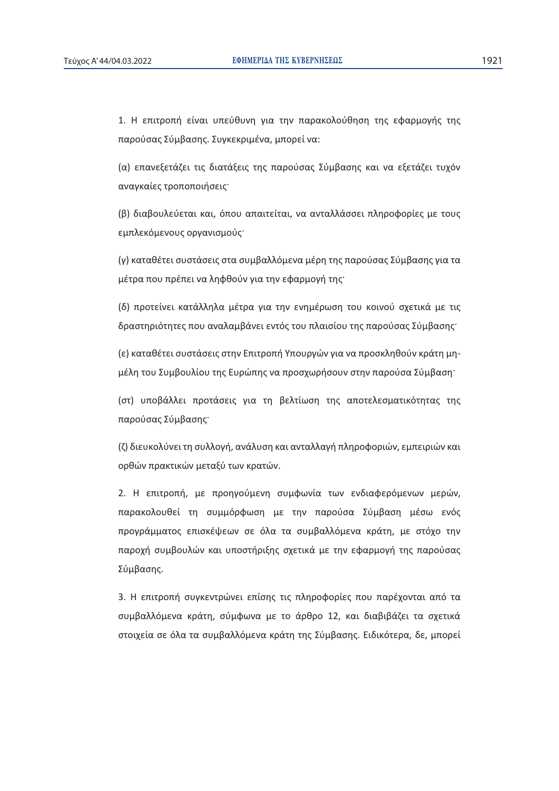1. Η επιτροπή είναι υπεύθυνη για την παρακολούθηση της εφαρμογής της παρούσας Σύμβασης. Συγκεκριμένα, μπορεί να:

(α) επανεξετάζει τις διατάξεις της παρούσας Σύμβασης και να εξετάζει τυχόν αναγκαίες τροποποιήσεις·

(β) διαβουλεύεται και, όπου απαιτείται, να ανταλλάσσει πληροφορίες με τους εμπλεκόμενους οργανισμούς·

(γ) καταθέτει συστάσεις στα συμβαλλόμενα μέρη της παρούσας Σύμβασης για τα μέτρα που πρέπει να ληφθούν για την εφαρμογή της

(δ) προτείνει κατάλληλα μέτρα για την ενημέρωση του κοινού σχετικά με τις δραστηριότητες που αναλαμβάνει εντός του πλαισίου της παρούσας Σύμβασης·

(ε) καταθέτει συστάσεις στην Επιτροπή Υπουργών για να προσκληθούν κράτη μημέλη του Συμβουλίου της Ευρώπης να προσχωρήσουν στην παρούσα Σύμβαση·

(στ) υποβάλλει προτάσεις για τη βελτίωση της αποτελεσματικότητας της παρούσας Σύμβασης·

(ζ) διευκολύνει τη συλλογή, ανάλυση και ανταλλαγή πληροφοριών, εμπειριών και oρθών πρακτικών μεταξύ των κρατών.

2. Η επιτροπή, με προηγούμενη συμφωνία των ενδιαφερόμενων μερών, παρακολουθεί τη συμμόρφωση με την παρούσα Σύμβαση μέσω ενός προγράμματος επισκέψεων σε όλα τα συμβαλλόμενα κράτη, με στόχο την παροχή συμβουλών και υποστήριξης σχετικά με την εφαρμονή της παρούσας Σύμβασης.

3. Η επιτροπή συγκεντρώνει επίσης τις πληροφορίες που παρέχονται από τα συμβαλλόμενα κράτη, σύμφωνα με το άρθρο 12, και διαβιβάζει τα σχετικά στοιχεία σε όλα τα συμβαλλόμενα κράτη της Σύμβασης. Ειδικότερα, δε, μπορεί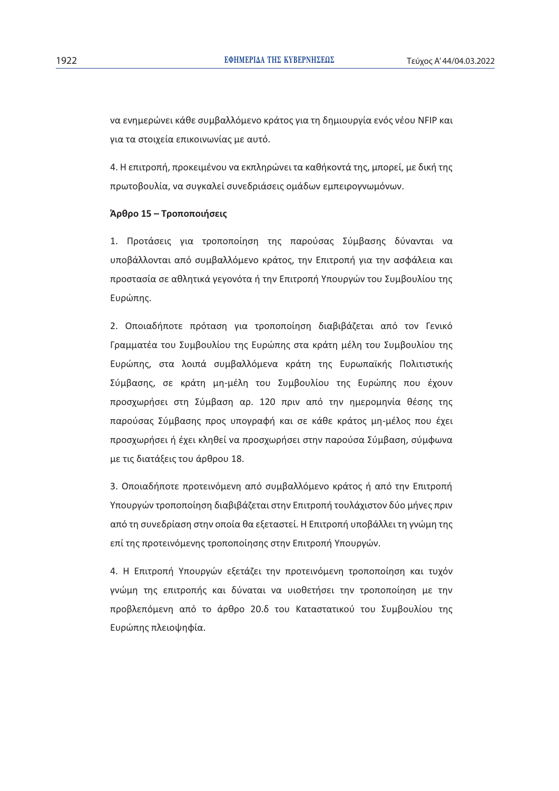να ενημερώνει κάθε συμβαλλόμενο κράτος για τη δημιουργία ενός νέου NFIP και νια τα στοιχεία επικοινωνίας με αυτό.

4. Η επιτροπή, προκειμένου να εκπληρώνει τα καθήκοντά της, μπορεί, με δική της πρωτοβουλία, να συγκαλεί συνεδριάσεις ομάδων εμπειρογνωμόνων.

# $A$ ρθρο 15 – Τροποποιήσεις

1. Προτάσεις για τροποποίηση της παρούσας Σύμβασης δύνανται να υποβάλλονται από συμβαλλόμενο κράτος, την Επιτροπή για την ασφάλεια και προστασία σε αθλητικά γεγονότα ή την Επιτροπή Υπουργών του Συμβουλίου της Ευρώπης.

2. Οποιαδήποτε πρόταση για τροποποίηση διαβιβάζεται από τον Γενικό Γραμματέα του Συμβουλίου της Ευρώπης στα κράτη μέλη του Συμβουλίου της Ευρώπης, στα λοιπά συμβαλλόμενα κράτη της Ευρωπαϊκής Πολιτιστικής Σύμβασης, σε κράτη μη-μέλη του Συμβουλίου της Ευρώπης που έχουν προσχωρήσει στη Σύμβαση αρ. 120 πριν από την ημερομηνία θέσης της παρούσας Σύμβασης προς υπογραφή και σε κάθε κράτος μη-μέλος που έχει προσχωρήσει ή έχει κληθεί να προσχωρήσει στην παρούσα Σύμβαση, σύμφωνα με τις διατάξεις του άρθρου 18.

3. Οποιαδήποτε προτεινόμενη από συμβαλλόμενο κράτος ή από την Επιτροπή Υπουργών τροποποίηση διαβιβάζεται στην Επιτροπή τουλάχιστον δύο μήνες πριν από τη συνεδρίαση στην οποία θα εξεταστεί. Η Επιτροπή υποβάλλει τη γνώμη της επί της προτεινόμενης τροποποίησης στην Επιτροπή Υπουργών.

4. Η Επιτροπή Υπουργών εξετάζει την προτεινόμενη τροποποίηση και τυχόν γνώμη της επιτροπής και δύναται να υιοθετήσει την τροποποίηση με την προβλεπόμενη από το άρθρο 20.δ του Καταστατικού του Συμβουλίου της Ευρώπης πλειοψηφία.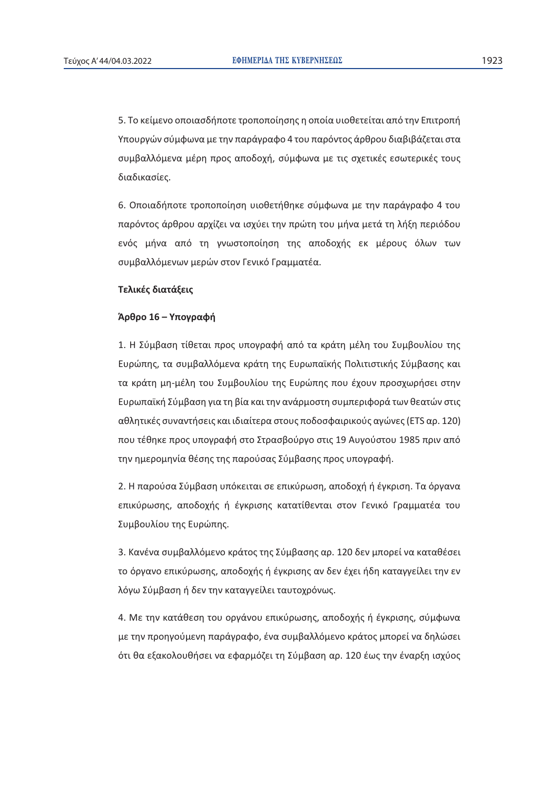5. Το κείμενο οποιασδήποτε τροποποίησης η οποία υιοθετείται από την Επιτροπή Υπουργών σύμφωνα με την παράγραφο 4 του παρόντος άρθρου διαβιβάζεται στα συμβαλλόμενα μέρη προς αποδοχή, σύμφωνα με τις σχετικές εσωτερικές τους διαδικασίες.

6. Οποιαδήποτε τροποποίηση υιοθετήθηκε σύμφωνα με την παράγραφο 4 του παρόντος άρθρου αρχίζει να ισχύει την πρώτη του μήνα μετά τη λήξη περιόδου ενός μήνα από τη γνωστοποίηση της αποδοχής εκ μέρους όλων των συμβαλλόμενων μερών στον Γενικό Γραμματέα.

# **Τελικές διατάξεις**

# $'A$ ρθρο 16 – Υπογραφή

1. Η Σύμβαση τίθεται προς υπονραφή από τα κράτη μέλη του Συμβουλίου της Ευρώπης, τα συμβαλλόμενα κράτη της Ευρωπαϊκής Πολιτιστικής Σύμβασης και τα κράτη μη-μέλη του Συμβουλίου της Ευρώπης που έχουν προσχωρήσει στην Ευρωπαϊκή Σύμβαση για τη βία και την ανάρμοστη συμπεριφορά των θεατών στις aθλητικές συναντήσεις και ιδιαίτερα στους ποδοσφαιρικούς αγώνες (ETS αρ. 120) που τέθηκε προς υπογραφή στο Στρασβούργο στις 19 Αυγούστου 1985 πριν από την ημερομηνία θέσης της παρούσας Σύμβασης προς υπογραφή.

2. Η παρούσα Σύμβαση υπόκειται σε επικύρωση, αποδοχή ή έγκριση. Τα όργανα επικύρωσης, αποδοχής ή έγκρισης κατατίθενται στον Γενικό Γραμματέα του Συμβουλίου της Ευρώπης.

3. Κανένα συμβαλλόμενο κράτος της Σύμβασης αρ. 120 δεν μπορεί να καταθέσει το όργανο επικύρωσης, αποδοχής ή έγκρισης αν δεν έχει ήδη καταγγείλει την εν λόγω Σύμβαση ή δεν την καταγγείλει ταυτοχρόνως.

4. Με την κατάθεση του οργάνου επικύρωσης, αποδοχής ή έγκρισης, σύμφωνα με την προηγούμενη παράγραφο, ένα συμβαλλόμενο κράτος μπορεί να δηλώσει ότι θα εξακολουθήσει να εφαρμόζει τη Σύμβαση αρ. 120 έως την έναρξη ισχύος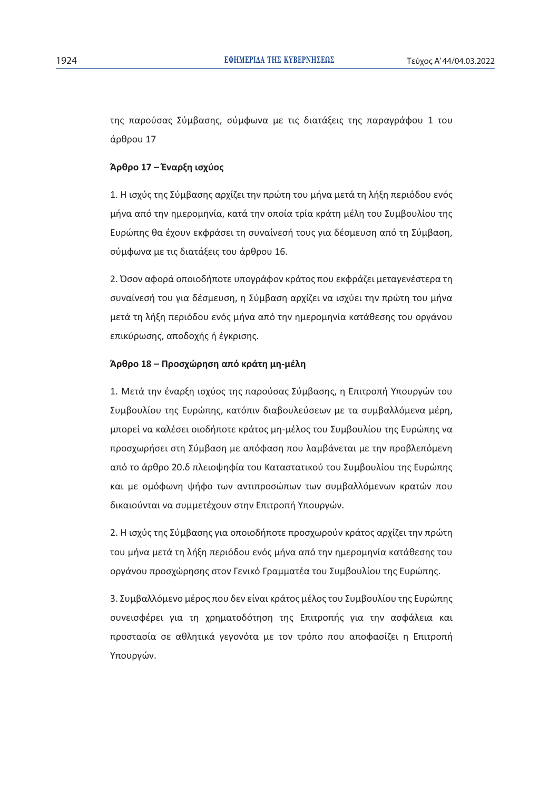της παρούσας Σύμβασης, σύμφωνα με τις διατάξεις της παραγράφου 1 του άρθρου 17

# $A$ ρθρο 17 – Έναρξη ισχύος

1. Η ισχύς της Σύμβασης αρχίζει την πρώτη του μήνα μετά τη λήξη περιόδου ενός μήνα από την ημερομηνία, κατά την οποία τρία κράτη μέλη του Συμβουλίου της Eυρώπης θα έχουν εκφράσει τη συναίνεσή τους για δέσμευση από τη Σύμβαση, σύμφωνα με τις διατάξεις του άρθρου 16.

2. Όσον αφορά οποιοδήποτε υπογράφον κράτος που εκφράζει μεταγενέστερα τη συναίνεσή του για δέσμευση, η Σύμβαση αρχίζει να ισχύει την πρώτη του μήνα μετά τη λήξη περιόδου ενός μήνα από την ημερομηνία κατάθεσης του οργάνου επικύρωσης, αποδοχής ή έγκρισης.

# $\hat{A}$ ρθρο 18 – Προσχώρηση από κράτη μη-μέλη

1. Μετά την έναρξη ισχύος της παρούσας Σύμβασης, η Επιτροπή Υπουργών του Συμβουλίου της Ευρώπης, κατόπιν διαβουλεύσεων με τα συμβαλλόμενα μέρη, μπορεί να καλέσει οιοδήποτε κράτος μη-μέλος του Συμβουλίου της Ευρώπης να προσχωρήσει στη Σύμβαση με απόφαση που λαμβάνεται με την προβλεπόμενη από το άρθρο 20.δ πλειοψηφία του Καταστατικού του Συμβουλίου της Ευρώπης και με ομόφωνη ψήφο των αντιπροσώπων των συμβαλλόμενων κρατών που δικαιούνται να συμμετέχουν στην Επιτροπή Υπουργών.

2. Η ισχύς της Σύμβασης για οποιοδήποτε προσχωρούν κράτος αρχίζει την πρώτη του μήνα μετά τη λήξη περιόδου ενός μήνα από την ημερομηνία κατάθεσης του oργάνου προσχώρησης στον Γενικό Γραμματέα του Συμβουλίου της Ευρώπης.

3. Συμβαλλόμενο μέρος που δεν είναι κράτος μέλος του Συμβουλίου της Ευρώπης συνεισφέρει για τη χρηματοδότηση της Επιτροπής για την ασφάλεια και προστασία σε αθλητικά γεγονότα με τον τρόπο που αποφασίζει η Επιτροπή Υπουρνών.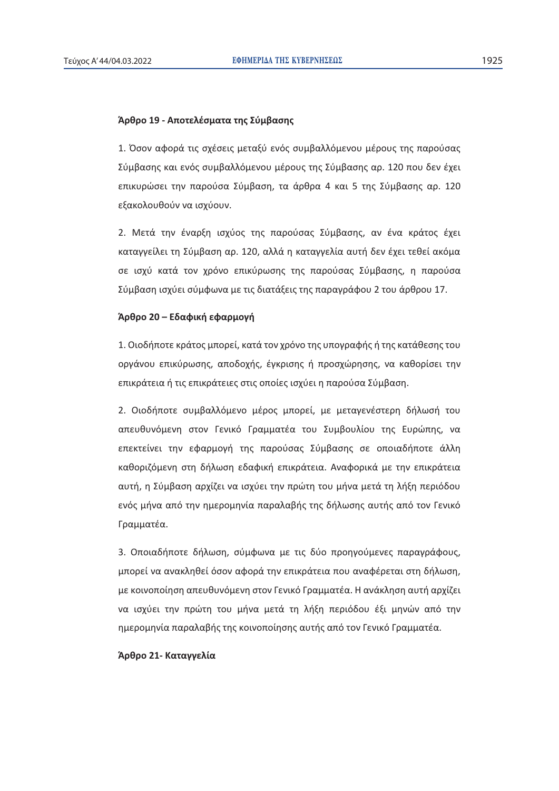# $A$ ρθρο 19 - Αποτελέσματα της Σύμβασης

1. Όσον αφορά τις σχέσεις μεταξύ ενός συμβαλλόμενου μέρους της παρούσας Σύμβασης και ενός συμβαλλόμενου μέρους της Σύμβασης αρ. 120 που δεν έχει επικυρώσει την παρούσα Σύμβαση, τα άρθρα 4 και 5 της Σύμβασης αρ. 120 εξακολουθούν να ισχύουν.

2. Μετά την έναρξη ισχύος της παρούσας Σύμβασης, αν ένα κράτος έχει καταγγείλει τη Σύμβαση αρ. 120, αλλά η καταγγελία αυτή δεν έχει τεθεί ακόμα σε ισχύ κατά τον χρόνο επικύρωσης της παρούσας Σύμβασης, η παρούσα Σύμβαση ισχύει σύμφωνα με τις διατάξεις της παραγράφου 2 του άρθρου 17.

# $A$ ρθρο 20 – Εδαφική εφαρμογή

1. Οιοδήποτε κράτος μπορεί, κατά τον χρόνο της υπονραφής ή της κατάθεσης του οργάνου επικύρωσης, αποδοχής, έγκρισης ή προσχώρησης, να καθορίσει την επικράτεια ή τις επικράτειες στις οποίες ισχύει η παρούσα Σύμβαση.

2. Οιοδήποτε συμβαλλόμενο μέρος μπορεί, με μεταγενέστερη δήλωσή του απευθυνόμενη στον Γενικό Γραμματέα του Συμβουλίου της Ευρώπης, να επεκτείνει την εφαρμογή της παρούσας Σύμβασης σε οποιαδήποτε άλλη καθοριζόμενη στη δήλωση εδαφική επικράτεια. Αναφορικά με την επικράτεια αυτή, η Σύμβαση αρχίζει να ισχύει την πρώτη του μήνα μετά τη λήξη περιόδου ενός μήνα από την ημερομηνία παραλαβής της δήλωσης αυτής από τον Γενικό Γραμματέα.

3. Οποιαδήποτε δήλωση, σύμφωνα με τις δύο προηγούμενες παραγράφους, μπορεί να ανακληθεί όσον αφορά την επικράτεια που αναφέρεται στη δήλωση, με κοινοποίηση απευθυνόμενη στον Γενικό Γραμματέα. Η ανάκληση αυτή αρχίζει να ισχύει την πρώτη του μήνα μετά τη λήξη περιόδου έξι μηνών από την ημερομηνία παραλαβής της κοινοποίησης αυτής από τον Γενικό Γραμματέα.

# $A$ ρθρο 21- Καταγγελία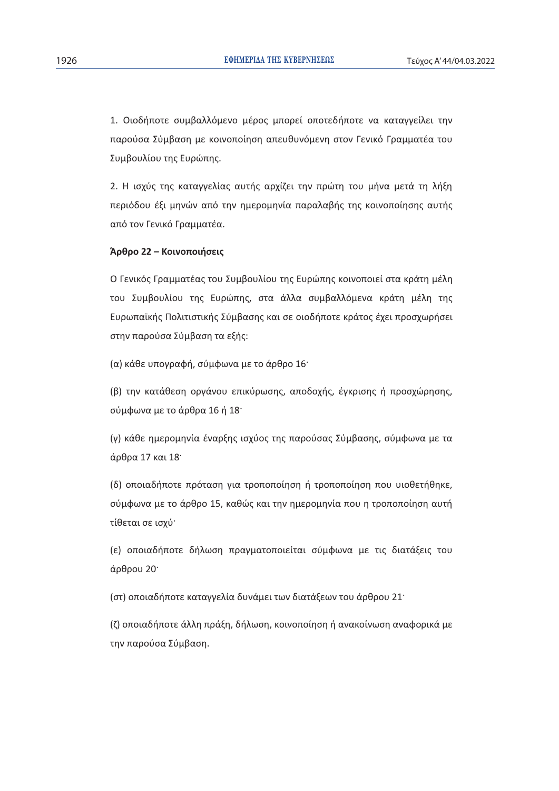1. Οιοδήποτε συμβαλλόμενο μέρος μπορεί οποτεδήποτε να καταγγείλει την παρούσα Σύμβαση με κοινοποίηση απευθυνόμενη στον Γενικό Γραμματέα του Συμβουλίου της Ευρώπης.

2. Η ισχύς της καταγγελίας αυτής αρχίζει την πρώτη του μήνα μετά τη λήξη περιόδου έξι μηνών από την ημερομηνία παραλαβής της κοινοποίησης αυτής από τον Γενικό Γραμματέα.

# $A$ ρθρο 22 – Κοινοποιήσεις

Ο Γενικός Γραμματέας του Συμβουλίου της Ευρώπης κοινοποιεί στα κράτη μέλη του Συμβουλίου της Ευρώπης, στα άλλα συμβαλλόμενα κράτη μέλη της Ευρωπαϊκής Πολιτιστικής Σύμβασης και σε οιοδήποτε κράτος έχει προσχωρήσει στην παρούσα Σύμβαση τα εξής:

(α) κάθε υπογραφή, σύμφωνα με το άρθρο 16<sup>·</sup>

(β) την κατάθεση οργάνου επικύρωσης, αποδοχής, έγκρισης ή προσχώρησης, σύμφωνα με το άρθρα 16 ή 18<sup>.</sup>

(γ) κάθε ημερομηνία έναρξης ισχύος της παρούσας Σύμβασης, σύμφωνα με τα άρθρα 17 και 18

(δ) οποιαδήποτε πρόταση για τροποποίηση ή τροποποίηση που υιοθετήθηκε, σύμφωνα με το άρθρο 15, καθώς και την ημερομηνία που η τροποποίηση αυτή τίθεται σε ισχύ<sup>·</sup>

(ε) οποιαδήποτε δήλωση πραγματοποιείται σύμφωνα με τις διατάξεις του άρθρου 20

(στ) οποιαδήποτε καταγγελία δυνάμει των διατάξεων του άρθρου 21<sup>.</sup>

(ζ) οποιαδήποτε άλλη πράξη, δήλωση, κοινοποίηση ή ανακοίνωση αναφορικά με την παρούσα Σύμβαση.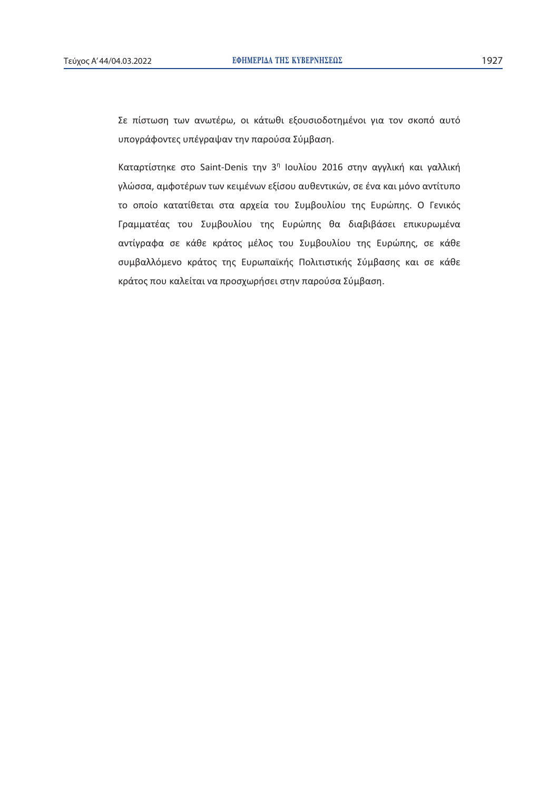Σε πίστωση των ανωτέρω, οι κάτωθι εξουσιοδοτημένοι για τον σκοπό αυτό υπογράφοντες υπέγραψαν την παρούσα Σύμβαση.

Kαταρτίστηκε στο Saint-Denis την 3<sup>η</sup> Ιουλίου 2016 στην αγγλική και γαλλική γλώσσα, αμφοτέρων των κειμένων εξίσου αυθεντικών, σε ένα και μόνο αντίτυπο το οποίο κατατίθεται στα αρχεία του Συμβουλίου της Ευρώπης. Ο Γενικός Γραμματέας του Συμβουλίου της Ευρώπης θα διαβιβάσει επικυρωμένα αντίγραφα σε κάθε κράτος μέλος του Συμβουλίου της Ευρώπης, σε κάθε συμβαλλόμενο κράτος της Ευρωπαϊκής Πολιτιστικής Σύμβασης και σε κάθε κράτος που καλείται να προσχωρήσει στην παρούσα Σύμβαση.